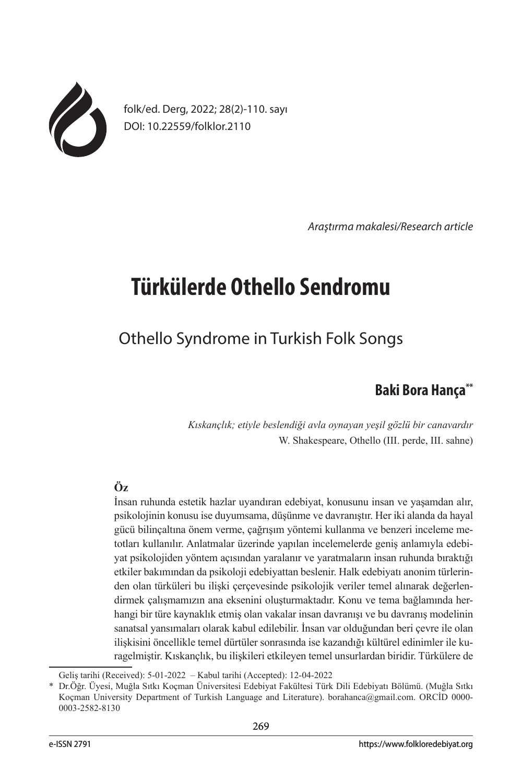

folk/ed. Derg, 2022; 28(2)-110. sayı DOI: 10.22559/folklor.2110

*Araştırma makalesi/Research article*

# **Türkülerde Othello Sendromu**

## Othello Syndrome in Turkish Folk Songs

## **Baki Bora Hança\*\***

*Kıskançlık; etiyle beslendiği avla oynayan yeşil gözlü bir canavardır* W. Shakespeare, Othello (III. perde, III. sahne)

## **Öz**

İnsan ruhunda estetik hazlar uyandıran edebiyat, konusunu insan ve yaşamdan alır, psikolojinin konusu ise duyumsama, düşünme ve davranıştır. Her iki alanda da hayal gücü bilinçaltına önem verme, çağrışım yöntemi kullanma ve benzeri inceleme metotları kullanılır. Anlatmalar üzerinde yapılan incelemelerde geniş anlamıyla edebiyat psikolojiden yöntem açısından yaralanır ve yaratmaların insan ruhunda bıraktığı etkiler bakımından da psikoloji edebiyattan beslenir. Halk edebiyatı anonim türlerinden olan türküleri bu ilişki çerçevesinde psikolojik veriler temel alınarak değerlendirmek çalışmamızın ana eksenini oluşturmaktadır. Konu ve tema bağlamında herhangi bir türe kaynaklık etmiş olan vakalar insan davranışı ve bu davranış modelinin sanatsal yansımaları olarak kabul edilebilir. İnsan var olduğundan beri çevre ile olan ilişkisini öncellikle temel dürtüler sonrasında ise kazandığı kültürel edinimler ile kuragelmiştir. Kıskançlık, bu ilişkileri etkileyen temel unsurlardan biridir. Türkülere de

Geliş tarihi (Received): 5-01-2022 – Kabul tarihi (Accepted): 12-04-2022

<sup>\*</sup> Dr.Öğr. Üyesi, Muğla Sıtkı Koçman Üniversitesi Edebiyat Fakültesi Türk Dili Edebiyatı Bölümü. (Muğla Sıtkı Koçman University Department of Turkish Language and Literature). borahanca@gmail.com. ORCİD 0000- 0003-2582-8130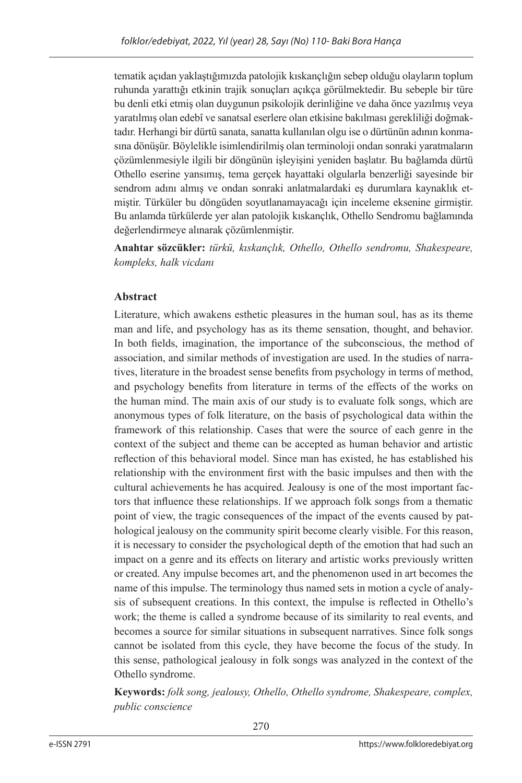tematik açıdan yaklaştığımızda patolojik kıskançlığın sebep olduğu olayların toplum ruhunda yarattığı etkinin trajik sonuçları açıkça görülmektedir. Bu sebeple bir türe bu denli etki etmiş olan duygunun psikolojik derinliğine ve daha önce yazılmış veya yaratılmış olan edebî ve sanatsal eserlere olan etkisine bakılması gerekliliği doğmaktadır. Herhangi bir dürtü sanata, sanatta kullanılan olgu ise o dürtünün adının konmasına dönüşür. Böylelikle isimlendirilmiş olan terminoloji ondan sonraki yaratmaların çözümlenmesiyle ilgili bir döngünün işleyişini yeniden başlatır. Bu bağlamda dürtü Othello eserine yansımış, tema gerçek hayattaki olgularla benzerliği sayesinde bir sendrom adını almış ve ondan sonraki anlatmalardaki eş durumlara kaynaklık etmiştir. Türküler bu döngüden soyutlanamayacağı için inceleme eksenine girmiştir. Bu anlamda türkülerde yer alan patolojik kıskançlık, Othello Sendromu bağlamında değerlendirmeye alınarak çözümlenmiştir.

**Anahtar sözcükler:** *türkü, kıskançlık, Othello, Othello sendromu, Shakespeare, kompleks, halk vicdanı*

## **Abstract**

Literature, which awakens esthetic pleasures in the human soul, has as its theme man and life, and psychology has as its theme sensation, thought, and behavior. In both fields, imagination, the importance of the subconscious, the method of association, and similar methods of investigation are used. In the studies of narratives, literature in the broadest sense benefits from psychology in terms of method, and psychology benefits from literature in terms of the effects of the works on the human mind. The main axis of our study is to evaluate folk songs, which are anonymous types of folk literature, on the basis of psychological data within the framework of this relationship. Cases that were the source of each genre in the context of the subject and theme can be accepted as human behavior and artistic reflection of this behavioral model. Since man has existed, he has established his relationship with the environment first with the basic impulses and then with the cultural achievements he has acquired. Jealousy is one of the most important factors that influence these relationships. If we approach folk songs from a thematic point of view, the tragic consequences of the impact of the events caused by pathological jealousy on the community spirit become clearly visible. For this reason, it is necessary to consider the psychological depth of the emotion that had such an impact on a genre and its effects on literary and artistic works previously written or created. Any impulse becomes art, and the phenomenon used in art becomes the name of this impulse. The terminology thus named sets in motion a cycle of analysis of subsequent creations. In this context, the impulse is reflected in Othello's work; the theme is called a syndrome because of its similarity to real events, and becomes a source for similar situations in subsequent narratives. Since folk songs cannot be isolated from this cycle, they have become the focus of the study. In this sense, pathological jealousy in folk songs was analyzed in the context of the Othello syndrome.

**Keywords:** *folk song, jealousy, Othello, Othello syndrome, Shakespeare, complex, public conscience*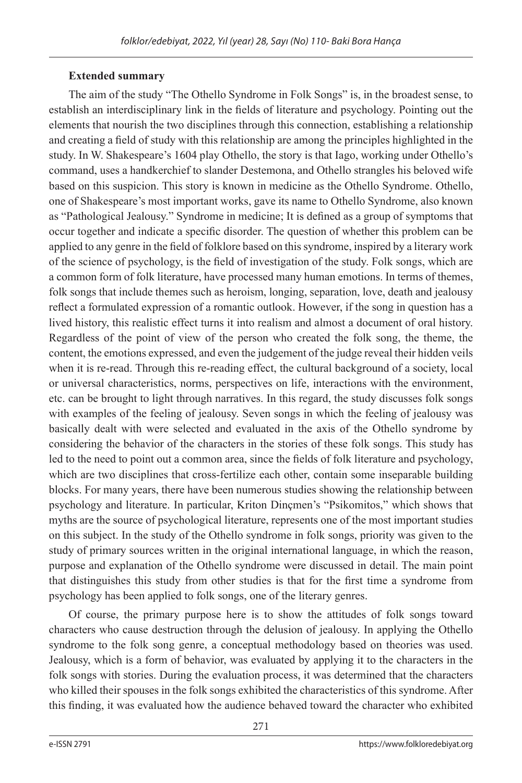## **Extended summary**

The aim of the study "The Othello Syndrome in Folk Songs" is, in the broadest sense, to establish an interdisciplinary link in the fields of literature and psychology. Pointing out the elements that nourish the two disciplines through this connection, establishing a relationship and creating a field of study with this relationship are among the principles highlighted in the study. In W. Shakespeare's 1604 play Othello, the story is that Iago, working under Othello's command, uses a handkerchief to slander Destemona, and Othello strangles his beloved wife based on this suspicion. This story is known in medicine as the Othello Syndrome. Othello, one of Shakespeare's most important works, gave its name to Othello Syndrome, also known as "Pathological Jealousy." Syndrome in medicine; It is defined as a group of symptoms that occur together and indicate a specific disorder. The question of whether this problem can be applied to any genre in the field of folklore based on this syndrome, inspired by a literary work of the science of psychology, is the field of investigation of the study. Folk songs, which are a common form of folk literature, have processed many human emotions. In terms of themes, folk songs that include themes such as heroism, longing, separation, love, death and jealousy reflect a formulated expression of a romantic outlook. However, if the song in question has a lived history, this realistic effect turns it into realism and almost a document of oral history. Regardless of the point of view of the person who created the folk song, the theme, the content, the emotions expressed, and even the judgement of the judge reveal their hidden veils when it is re-read. Through this re-reading effect, the cultural background of a society, local or universal characteristics, norms, perspectives on life, interactions with the environment, etc. can be brought to light through narratives. In this regard, the study discusses folk songs with examples of the feeling of jealousy. Seven songs in which the feeling of jealousy was basically dealt with were selected and evaluated in the axis of the Othello syndrome by considering the behavior of the characters in the stories of these folk songs. This study has led to the need to point out a common area, since the fields of folk literature and psychology, which are two disciplines that cross-fertilize each other, contain some inseparable building blocks. For many years, there have been numerous studies showing the relationship between psychology and literature. In particular, Kriton Dinçmen's "Psikomitos," which shows that myths are the source of psychological literature, represents one of the most important studies on this subject. In the study of the Othello syndrome in folk songs, priority was given to the study of primary sources written in the original international language, in which the reason, purpose and explanation of the Othello syndrome were discussed in detail. The main point that distinguishes this study from other studies is that for the first time a syndrome from psychology has been applied to folk songs, one of the literary genres.

Of course, the primary purpose here is to show the attitudes of folk songs toward characters who cause destruction through the delusion of jealousy. In applying the Othello syndrome to the folk song genre, a conceptual methodology based on theories was used. Jealousy, which is a form of behavior, was evaluated by applying it to the characters in the folk songs with stories. During the evaluation process, it was determined that the characters who killed their spouses in the folk songs exhibited the characteristics of this syndrome. After this finding, it was evaluated how the audience behaved toward the character who exhibited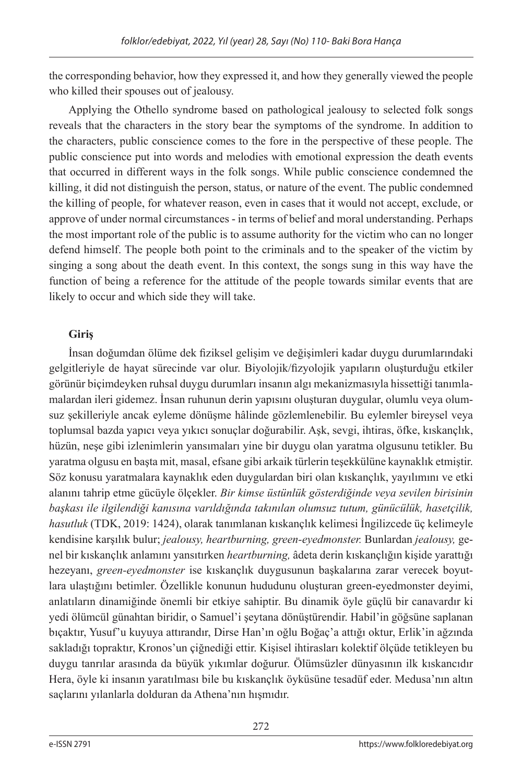the corresponding behavior, how they expressed it, and how they generally viewed the people who killed their spouses out of jealousy.

Applying the Othello syndrome based on pathological jealousy to selected folk songs reveals that the characters in the story bear the symptoms of the syndrome. In addition to the characters, public conscience comes to the fore in the perspective of these people. The public conscience put into words and melodies with emotional expression the death events that occurred in different ways in the folk songs. While public conscience condemned the killing, it did not distinguish the person, status, or nature of the event. The public condemned the killing of people, for whatever reason, even in cases that it would not accept, exclude, or approve of under normal circumstances - in terms of belief and moral understanding. Perhaps the most important role of the public is to assume authority for the victim who can no longer defend himself. The people both point to the criminals and to the speaker of the victim by singing a song about the death event. In this context, the songs sung in this way have the function of being a reference for the attitude of the people towards similar events that are likely to occur and which side they will take.

## **Giriş**

İnsan doğumdan ölüme dek fiziksel gelişim ve değişimleri kadar duygu durumlarındaki gelgitleriyle de hayat sürecinde var olur. Biyolojik/fizyolojik yapıların oluşturduğu etkiler görünür biçimdeyken ruhsal duygu durumları insanın algı mekanizmasıyla hissettiği tanımlamalardan ileri gidemez. İnsan ruhunun derin yapısını oluşturan duygular, olumlu veya olumsuz şekilleriyle ancak eyleme dönüşme hâlinde gözlemlenebilir. Bu eylemler bireysel veya toplumsal bazda yapıcı veya yıkıcı sonuçlar doğurabilir. Aşk, sevgi, ihtiras, öfke, kıskançlık, hüzün, neşe gibi izlenimlerin yansımaları yine bir duygu olan yaratma olgusunu tetikler. Bu yaratma olgusu en başta mit, masal, efsane gibi arkaik türlerin teşekkülüne kaynaklık etmiştir. Söz konusu yaratmalara kaynaklık eden duygulardan biri olan kıskançlık, yayılımını ve etki alanını tahrip etme gücüyle ölçekler. *Bir kimse üstünlük gösterdiğinde veya sevilen birisinin başkası ile ilgilendiği kanısına varıldığında takınılan olumsuz tutum, günücülük, hasetçilik, hasutluk* (TDK, 2019: 1424), olarak tanımlanan kıskançlık kelimesi İngilizcede üç kelimeyle kendisine karşılık bulur; *jealousy, heartburning, green-eyedmonster.* Bunlardan *jealousy,* genel bir kıskançlık anlamını yansıtırken *heartburning,* âdeta derin kıskançlığın kişide yarattığı hezeyanı, *green-eyedmonster* ise kıskançlık duygusunun başkalarına zarar verecek boyutlara ulaştığını betimler. Özellikle konunun hududunu oluşturan green-eyedmonster deyimi, anlatıların dinamiğinde önemli bir etkiye sahiptir. Bu dinamik öyle güçlü bir canavardır ki yedi ölümcül günahtan biridir, o Samuel'i şeytana dönüştürendir. Habil'in göğsüne saplanan bıçaktır, Yusuf'u kuyuya attırandır, Dirse Han'ın oğlu Boğaç'a attığı oktur, Erlik'in ağzında sakladığı topraktır, Kronos'un çiğnediği ettir. Kişisel ihtirasları kolektif ölçüde tetikleyen bu duygu tanrılar arasında da büyük yıkımlar doğurur. Ölümsüzler dünyasının ilk kıskancıdır Hera, öyle ki insanın yaratılması bile bu kıskançlık öyküsüne tesadüf eder. Medusa'nın altın saçlarını yılanlarla dolduran da Athena'nın hışmıdır.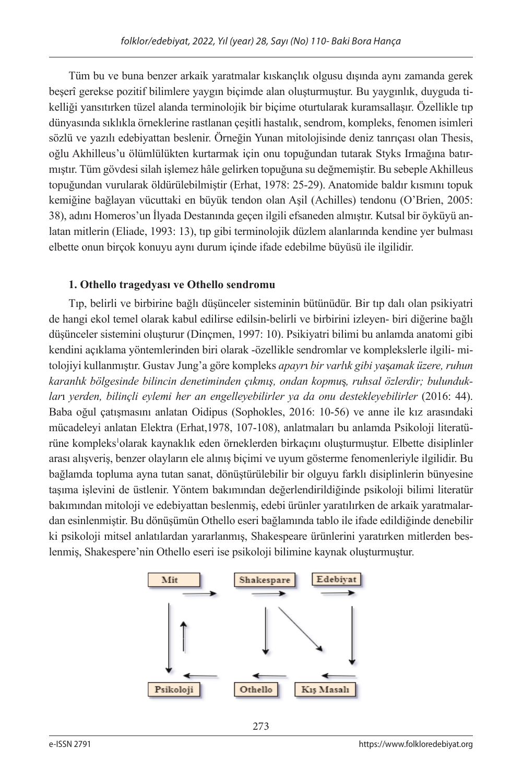Tüm bu ve buna benzer arkaik yaratmalar kıskançlık olgusu dışında aynı zamanda gerek beşerî gerekse pozitif bilimlere yaygın biçimde alan oluşturmuştur. Bu yaygınlık, duyguda tikelliği yansıtırken tüzel alanda terminolojik bir biçime oturtularak kuramsallaşır. Özellikle tıp dünyasında sıklıkla örneklerine rastlanan çeşitli hastalık, sendrom, kompleks, fenomen isimleri sözlü ve yazılı edebiyattan beslenir. Örneğin Yunan mitolojisinde deniz tanrıçası olan Thesis, oğlu Akhilleus'u ölümlülükten kurtarmak için onu topuğundan tutarak Styks Irmağına batırmıştır. Tüm gövdesi silah işlemez hâle gelirken topuğuna su değmemiştir. Bu sebeple Akhilleus topuğundan vurularak öldürülebilmiştir (Erhat, 1978: 25-29). Anatomide baldır kısmını topuk kemiğine bağlayan vücuttaki en büyük tendon olan Aşil (Achilles) tendonu (O'Brien, 2005: 38), adını Homeros'un İlyada Destanında geçen ilgili efsaneden almıştır. Kutsal bir öyküyü anlatan mitlerin (Eliade, 1993: 13), tıp gibi terminolojik düzlem alanlarında kendine yer bulması elbette onun birçok konuyu aynı durum içinde ifade edebilme büyüsü ile ilgilidir.

### **1. Othello tragedyası ve Othello sendromu**

Tıp, belirli ve birbirine bağlı düşünceler sisteminin bütünüdür. Bir tıp dalı olan psikiyatri de hangi ekol temel olarak kabul edilirse edilsin-belirli ve birbirini izleyen- biri diğerine bağlı düşünceler sistemini oluşturur (Dinçmen, 1997: 10). Psikiyatri bilimi bu anlamda anatomi gibi kendini açıklama yöntemlerinden biri olarak -özellikle sendromlar ve komplekslerle ilgili- mitolojiyi kullanmıştır. Gustav Jung'a göre kompleks *apayr*ı *bir varl*ı*k gibi ya*ş*amak üzere, ruhun karanl*ı*k bölgesinde bilincin denetiminden çıkmış, ondan kopmu*ş*, ruhsal özlerdir; bulunduklar*ı *yerden, bilinçli eylemi her an engelleyebilirler ya da onu destekleyebilirler* (2016: 44). Baba oğul çatışmasını anlatan Oidipus (Sophokles, 2016: 10-56) ve anne ile kız arasındaki mücadeleyi anlatan Elektra (Erhat,1978, 107-108), anlatmaları bu anlamda Psikoloji literatürüne kompleks<sup>1</sup>olarak kaynaklık eden örneklerden birkaçını oluşturmuştur. Elbette disiplinler arası alışveriş, benzer olayların ele alınış biçimi ve uyum gösterme fenomenleriyle ilgilidir. Bu bağlamda topluma ayna tutan sanat, dönüştürülebilir bir olguyu farklı disiplinlerin bünyesine taşıma işlevini de üstlenir. Yöntem bakımından değerlendirildiğinde psikoloji bilimi literatür bakımından mitoloji ve edebiyattan beslenmiş, edebi ürünler yaratılırken de arkaik yaratmalardan esinlenmiştir. Bu dönüşümün Othello eseri bağlamında tablo ile ifade edildiğinde denebilir ki psikoloji mitsel anlatılardan yararlanmış, Shakespeare ürünlerini yaratırken mitlerden beslenmiş, Shakespere'nin Othello eseri ise psikoloji bilimine kaynak oluşturmuştur.

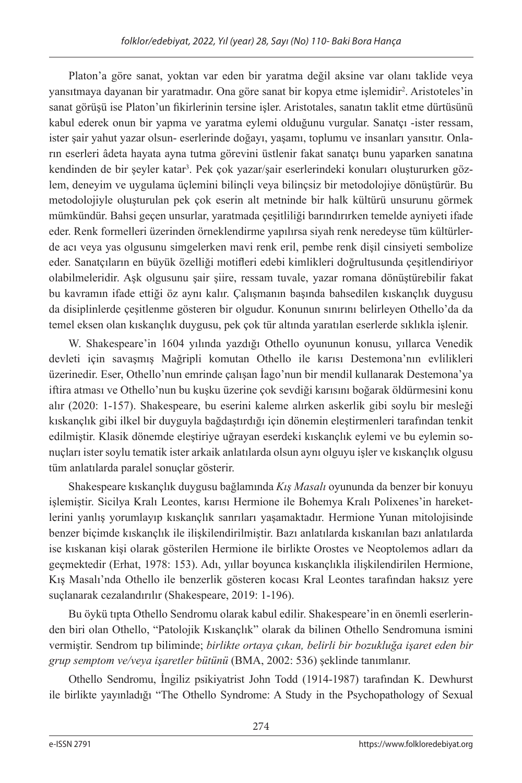Platon'a göre sanat, yoktan var eden bir yaratma değil aksine var olanı taklide veya yansıtmaya dayanan bir yaratmadır. Ona göre sanat bir kopya etme işlemidir2 . Aristoteles'in sanat görüşü ise Platon'un fikirlerinin tersine işler. Aristotales, sanatın taklit etme dürtüsünü kabul ederek onun bir yapma ve yaratma eylemi olduğunu vurgular. Sanatçı -ister ressam, ister şair yahut yazar olsun- eserlerinde doğayı, yaşamı, toplumu ve insanları yansıtır. Onların eserleri âdeta hayata ayna tutma görevini üstlenir fakat sanatçı bunu yaparken sanatına kendinden de bir şeyler katar3 . Pek çok yazar/şair eserlerindeki konuları oluştururken gözlem, deneyim ve uygulama üçlemini bilinçli veya bilinçsiz bir metodolojiye dönüştürür. Bu metodolojiyle oluşturulan pek çok eserin alt metninde bir halk kültürü unsurunu görmek mümkündür. Bahsi geçen unsurlar, yaratmada çeşitliliği barındırırken temelde ayniyeti ifade eder. Renk formelleri üzerinden örneklendirme yapılırsa siyah renk neredeyse tüm kültürlerde acı veya yas olgusunu simgelerken mavi renk eril, pembe renk dişil cinsiyeti sembolize eder. Sanatçıların en büyük özelliği motifleri edebi kimlikleri doğrultusunda çeşitlendiriyor olabilmeleridir. Aşk olgusunu şair şiire, ressam tuvale, yazar romana dönüştürebilir fakat bu kavramın ifade ettiği öz aynı kalır. Çalışmanın başında bahsedilen kıskançlık duygusu da disiplinlerde çeşitlenme gösteren bir olgudur. Konunun sınırını belirleyen Othello'da da temel eksen olan kıskançlık duygusu, pek çok tür altında yaratılan eserlerde sıklıkla işlenir.

W. Shakespeare'in 1604 yılında yazdığı Othello oyununun konusu, yıllarca Venedik devleti için savaşmış Mağripli komutan Othello ile karısı Destemona'nın evlilikleri üzerinedir. Eser, Othello'nun emrinde çalışan İago'nun bir mendil kullanarak Destemona'ya iftira atması ve Othello'nun bu kuşku üzerine çok sevdiği karısını boğarak öldürmesini konu alır (2020: 1-157). Shakespeare, bu eserini kaleme alırken askerlik gibi soylu bir mesleği kıskançlık gibi ilkel bir duyguyla bağdaştırdığı için dönemin eleştirmenleri tarafından tenkit edilmiştir. Klasik dönemde eleştiriye uğrayan eserdeki kıskançlık eylemi ve bu eylemin sonuçları ister soylu tematik ister arkaik anlatılarda olsun aynı olguyu işler ve kıskançlık olgusu tüm anlatılarda paralel sonuçlar gösterir.

Shakespeare kıskançlık duygusu bağlamında *Kış Masalı* oyununda da benzer bir konuyu işlemiştir. Sicilya Kralı Leontes, karısı Hermione ile Bohemya Kralı Polixenes'in hareketlerini yanlış yorumlayıp kıskançlık sanrıları yaşamaktadır. Hermione Yunan mitolojisinde benzer biçimde kıskançlık ile ilişkilendirilmiştir. Bazı anlatılarda kıskanılan bazı anlatılarda ise kıskanan kişi olarak gösterilen Hermione ile birlikte Orostes ve Neoptolemos adları da geçmektedir (Erhat, 1978: 153). Adı, yıllar boyunca kıskançlıkla ilişkilendirilen Hermione, Kış Masalı'nda Othello ile benzerlik gösteren kocası Kral Leontes tarafından haksız yere suçlanarak cezalandırılır (Shakespeare, 2019: 1-196).

Bu öykü tıpta Othello Sendromu olarak kabul edilir. Shakespeare'in en önemli eserlerinden biri olan Othello, "Patolojik Kıskançlık" olarak da bilinen Othello Sendromuna ismini vermiştir. Sendrom tıp biliminde; *birlikte ortaya çıkan, belirli bir bozukluğa işaret eden bir grup semptom ve/veya işaretler bütünü* (BMA, 2002: 536) şeklinde tanımlanır.

Othello Sendromu, İngiliz psikiyatrist John Todd (1914-1987) tarafından K. Dewhurst ile birlikte yayınladığı "The Othello Syndrome: A Study in the Psychopathology of Sexual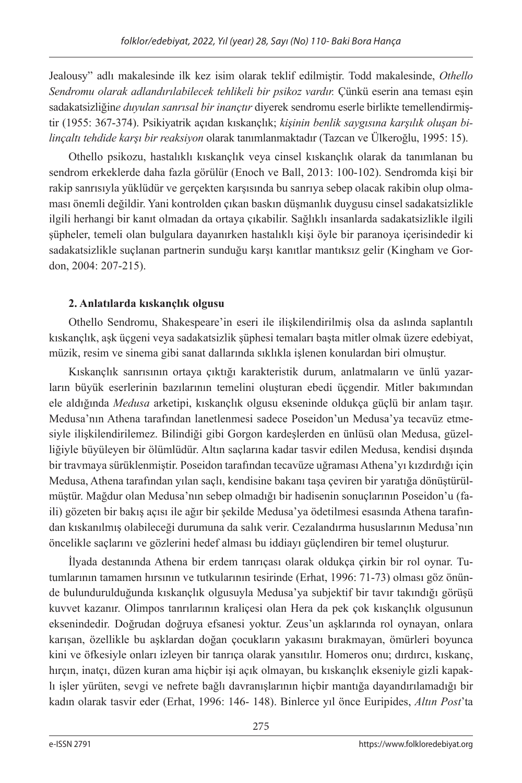Jealousy" adlı makalesinde ilk kez isim olarak teklif edilmiştir. Todd makalesinde, *Othello Sendromu olarak adlandırılabilecek tehlikeli bir psikoz vardır.* Çünkü eserin ana teması eşin sadakatsizliğin*e duyulan sanrısal bir inançtır* diyerek sendromu eserle birlikte temellendirmiştir (1955: 367-374). Psikiyatrik açıdan kıskançlık; *kişinin benlik saygısına karşılık oluşan bilinçaltı tehdide karşı bir reaksiyon* olarak tanımlanmaktadır (Tazcan ve Ülkeroğlu, 1995: 15).

Othello psikozu, hastalıklı kıskançlık veya cinsel kıskançlık olarak da tanımlanan bu sendrom erkeklerde daha fazla görülür (Enoch ve Ball, 2013: 100-102). Sendromda kişi bir rakip sanrısıyla yüklüdür ve gerçekten karşısında bu sanrıya sebep olacak rakibin olup olmaması önemli değildir. Yani kontrolden çıkan baskın düşmanlık duygusu cinsel sadakatsizlikle ilgili herhangi bir kanıt olmadan da ortaya çıkabilir. Sağlıklı insanlarda sadakatsizlikle ilgili şüpheler, temeli olan bulgulara dayanırken hastalıklı kişi öyle bir paranoya içerisindedir ki sadakatsizlikle suçlanan partnerin sunduğu karşı kanıtlar mantıksız gelir (Kingham ve Gordon, 2004: 207-215).

## **2. Anlatılarda kıskançlık olgusu**

Othello Sendromu, Shakespeare'in eseri ile ilişkilendirilmiş olsa da aslında saplantılı kıskançlık, aşk üçgeni veya sadakatsizlik şüphesi temaları başta mitler olmak üzere edebiyat, müzik, resim ve sinema gibi sanat dallarında sıklıkla işlenen konulardan biri olmuştur.

Kıskançlık sanrısının ortaya çıktığı karakteristik durum, anlatmaların ve ünlü yazarların büyük eserlerinin bazılarının temelini oluşturan ebedi üçgendir. Mitler bakımından ele aldığında *Medusa* arketipi, kıskançlık olgusu ekseninde oldukça güçlü bir anlam taşır. Medusa'nın Athena tarafından lanetlenmesi sadece Poseidon'un Medusa'ya tecavüz etmesiyle ilişkilendirilemez. Bilindiği gibi Gorgon kardeşlerden en ünlüsü olan Medusa, güzelliğiyle büyüleyen bir ölümlüdür. Altın saçlarına kadar tasvir edilen Medusa, kendisi dışında bir travmaya sürüklenmiştir. Poseidon tarafından tecavüze uğraması Athena'yı kızdırdığı için Medusa, Athena tarafından yılan saçlı, kendisine bakanı taşa çeviren bir yaratığa dönüştürülmüştür. Mağdur olan Medusa'nın sebep olmadığı bir hadisenin sonuçlarının Poseidon'u (faili) gözeten bir bakış açısı ile ağır bir şekilde Medusa'ya ödetilmesi esasında Athena tarafından kıskanılmış olabileceği durumuna da salık verir. Cezalandırma hususlarının Medusa'nın öncelikle saçlarını ve gözlerini hedef alması bu iddiayı güçlendiren bir temel oluşturur.

İlyada destanında Athena bir erdem tanrıçası olarak oldukça çirkin bir rol oynar. Tutumlarının tamamen hırsının ve tutkularının tesirinde (Erhat, 1996: 71-73) olması göz önünde bulundurulduğunda kıskançlık olgusuyla Medusa'ya subjektif bir tavır takındığı görüşü kuvvet kazanır. Olimpos tanrılarının kraliçesi olan Hera da pek çok kıskançlık olgusunun eksenindedir. Doğrudan doğruya efsanesi yoktur. Zeus'un aşklarında rol oynayan, onlara karışan, özellikle bu aşklardan doğan çocukların yakasını bırakmayan, ömürleri boyunca kini ve öfkesiyle onları izleyen bir tanrıça olarak yansıtılır. Homeros onu; dırdırcı, kıskanç, hırçın, inatçı, düzen kuran ama hiçbir işi açık olmayan, bu kıskançlık ekseniyle gizli kapaklı işler yürüten, sevgi ve nefrete bağlı davranışlarının hiçbir mantığa dayandırılamadığı bir kadın olarak tasvir eder (Erhat, 1996: 146- 148). Binlerce yıl önce Euripides, *Altın Post*'ta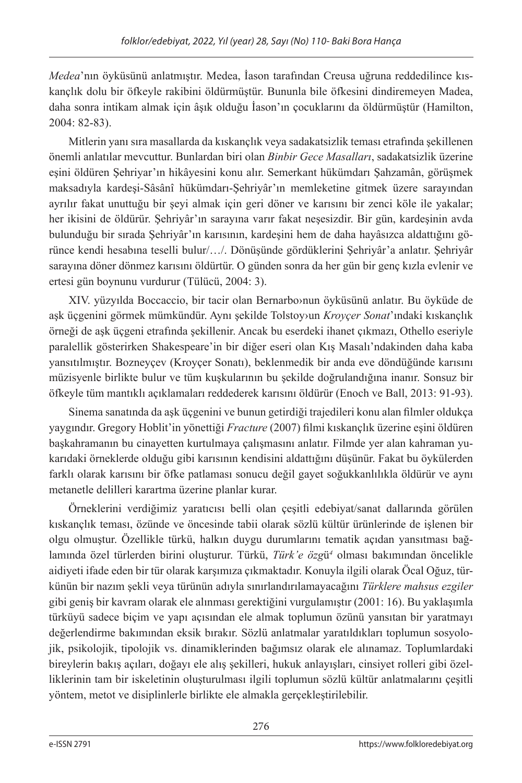*Medea*'nın öyküsünü anlatmıştır. Medea, İason tarafından Creusa uğruna reddedilince kıskançlık dolu bir öfkeyle rakibini öldürmüştür. Bununla bile öfkesini dindiremeyen Madea, daha sonra intikam almak için âşık olduğu İason'ın çocuklarını da öldürmüştür (Hamilton, 2004: 82-83).

Mitlerin yanı sıra masallarda da kıskançlık veya sadakatsizlik teması etrafında şekillenen önemli anlatılar mevcuttur. Bunlardan biri olan *Binbir Gece Masalları*, sadakatsizlik üzerine eşini öldüren Şehriyar'ın hikâyesini konu alır. Semerkant hükümdarı Şahzamân, görüşmek maksadıyla kardeşi-Sâsânî hükümdarı-Şehriyâr'ın memleketine gitmek üzere sarayından ayrılır fakat unuttuğu bir şeyi almak için geri döner ve karısını bir zenci köle ile yakalar; her ikisini de öldürür. Şehriyâr'ın sarayına varır fakat neşesizdir. Bir gün, kardeşinin avda bulunduğu bir sırada Şehriyâr'ın karısının, kardeşini hem de daha hayâsızca aldattığını görünce kendi hesabına teselli bulur/…/. Dönüşünde gördüklerini Şehriyâr'a anlatır. Şehriyâr sarayına döner dönmez karısını öldürtür. O günden sonra da her gün bir genç kızla evlenir ve ertesi gün boynunu vurdurur (Tülücü, 2004: 3).

XIV. yüzyılda Boccaccio, bir tacir olan Bernarbo›nun öyküsünü anlatır. Bu öyküde de aşk üçgenini görmek mümkündür. Aynı şekilde Tolstoy›un *Kroyçer Sonat*'ındaki kıskançlık örneği de aşk üçgeni etrafında şekillenir. Ancak bu eserdeki ihanet çıkmazı, Othello eseriyle paralellik gösterirken Shakespeare'in bir diğer eseri olan Kış Masalı'ndakinden daha kaba yansıtılmıştır. Bozneyçev (Kroyçer Sonatı), beklenmedik bir anda eve döndüğünde karısını müzisyenle birlikte bulur ve tüm kuşkularının bu şekilde doğrulandığına inanır. Sonsuz bir öfkeyle tüm mantıklı açıklamaları reddederek karısını öldürür (Enoch ve Ball, 2013: 91-93).

Sinema sanatında da aşk üçgenini ve bunun getirdiği trajedileri konu alan filmler oldukça yaygındır. Gregory Hoblit'in yönettiği *Fracture* (2007) filmi kıskançlık üzerine eşini öldüren başkahramanın bu cinayetten kurtulmaya çalışmasını anlatır. Filmde yer alan kahraman yukarıdaki örneklerde olduğu gibi karısının kendisini aldattığını düşünür. Fakat bu öykülerden farklı olarak karısını bir öfke patlaması sonucu değil gayet soğukkanlılıkla öldürür ve aynı metanetle delilleri karartma üzerine planlar kurar.

Örneklerini verdiğimiz yaratıcısı belli olan çeşitli edebiyat/sanat dallarında görülen kıskançlık teması, özünde ve öncesinde tabii olarak sözlü kültür ürünlerinde de işlenen bir olgu olmuştur. Özellikle türkü, halkın duygu durumlarını tematik açıdan yansıtması bağlamında özel türlerden birini oluşturur. Türkü, *Türk'e özg*ü*<sup>4</sup>* olması bakımından öncelikle aidiyeti ifade eden bir tür olarak karşımıza çıkmaktadır. Konuyla ilgili olarak Öcal Oğuz, türkünün bir nazım şekli veya türünün adıyla sınırlandırılamayacağını *Türklere mahsus ezgiler*  gibi geniş bir kavram olarak ele alınması gerektiğini vurgulamıştır (2001: 16). Bu yaklaşımla türküyü sadece biçim ve yapı açısından ele almak toplumun özünü yansıtan bir yaratmayı değerlendirme bakımından eksik bırakır. Sözlü anlatmalar yaratıldıkları toplumun sosyolojik, psikolojik, tipolojik vs. dinamiklerinden bağımsız olarak ele alınamaz. Toplumlardaki bireylerin bakış açıları, doğayı ele alış şekilleri, hukuk anlayışları, cinsiyet rolleri gibi özelliklerinin tam bir iskeletinin oluşturulması ilgili toplumun sözlü kültür anlatmalarını çeşitli yöntem, metot ve disiplinlerle birlikte ele almakla gerçekleştirilebilir.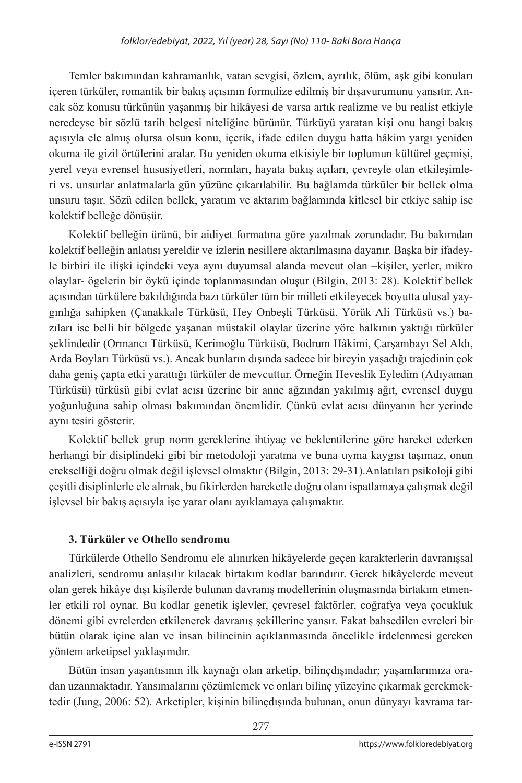Temler bakımından kahramanlık, vatan sevgisi, özlem, ayrılık, ölüm, aşk gibi konuları içeren türküler, romantik bir bakış açısının formulize edilmiş bir dışavurumunu yansıtır. Ancak söz konusu türkünün yaşanmış bir hikâyesi de varsa artık realizme ve bu realist etkiyle neredeyse bir sözlü tarih belgesi niteliğine bürünür. Türküyü yaratan kişi onu hangi bakış açısıyla ele almış olursa olsun konu, içerik, ifade edilen duygu hatta hâkim yargı yeniden okuma ile gizil örtülerini aralar. Bu yeniden okuma etkisiyle bir toplumun kültürel geçmişi, yerel veya evrensel hususiyetleri, normları, hayata bakış açıları, çevreyle olan etkileşimleri vs. unsurlar anlatmalarla gün yüzüne çıkarılabilir. Bu bağlamda türküler bir bellek olma unsuru taşır. Sözü edilen bellek, yaratım ve aktarım bağlamında kitlesel bir etkiye sahip ise kolektif belleğe dönüşür.

Kolektif belleğin ürünü, bir aidiyet formatına göre yazılmak zorundadır. Bu bakımdan kolektif belleğin anlatısı yereldir ve izlerin nesillere aktarılmasına dayanır. Başka bir ifadeyle birbiri ile ilişki içindeki veya aynı duyumsal alanda mevcut olan –kişiler, yerler, mikro olaylar- ögelerin bir öykü içinde toplanmasından oluşur (Bilgin, 2013: 28). Kolektif bellek açısından türkülere bakıldığında bazı türküler tüm bir milleti etkileyecek boyutta ulusal yaygınlığa sahipken (Çanakkale Türküsü, Hey Onbeşli Türküsü, Yörük Ali Türküsü vs.) bazıları ise belli bir bölgede yaşanan müstakil olaylar üzerine yöre halkının yaktığı türküler şeklindedir (Ormancı Türküsü, Kerimoğlu Türküsü, Bodrum Hâkimi, Çarşambayı Sel Aldı, Arda Boyları Türküsü vs.). Ancak bunların dışında sadece bir bireyin yaşadığı trajedinin çok daha geniş çapta etki yarattığı türküler de mevcuttur. Örneğin Heveslik Eyledim (Adıyaman Türküsü) türküsü gibi evlat acısı üzerine bir anne ağzından yakılmış ağıt, evrensel duygu yoğunluğuna sahip olması bakımından önemlidir. Çünkü evlat acısı dünyanın her yerinde aynı tesiri gösterir.

Kolektif bellek grup norm gereklerine ihtiyaç ve beklentilerine göre hareket ederken herhangi bir disiplindeki gibi bir metodoloji yaratma ve buna uyma kaygısı taşımaz, onun erekselliği doğru olmak değil işlevsel olmaktır (Bilgin, 2013: 29-31).Anlatıları psikoloji gibi çeşitli disiplinlerle ele almak, bu fikirlerden hareketle doğru olanı ispatlamaya çalışmak değil işlevsel bir bakış açısıyla işe yarar olanı ayıklamaya çalışmaktır.

## **3. Türküler ve Othello sendromu**

Türkülerde Othello Sendromu ele alınırken hikâyelerde geçen karakterlerin davranışsal analizleri, sendromu anlaşılır kılacak birtakım kodlar barındırır. Gerek hikâyelerde mevcut olan gerek hikâye dışı kişilerde bulunan davranış modellerinin oluşmasında birtakım etmenler etkili rol oynar. Bu kodlar genetik işlevler, çevresel faktörler, coğrafya veya çocukluk dönemi gibi evrelerden etkilenerek davranış şekillerine yansır. Fakat bahsedilen evreleri bir bütün olarak içine alan ve insan bilincinin açıklanmasında öncelikle irdelenmesi gereken yöntem arketipsel yaklaşımdır.

Bütün insan yaşantısının ilk kaynağı olan arketip, bilinçdışındadır; yaşamlarımıza oradan uzanmaktadır. Yansımalarını çözümlemek ve onları bilinç yüzeyine çıkarmak gerekmektedir (Jung, 2006: 52). Arketipler, kişinin bilinçdışında bulunan, onun dünyayı kavrama tar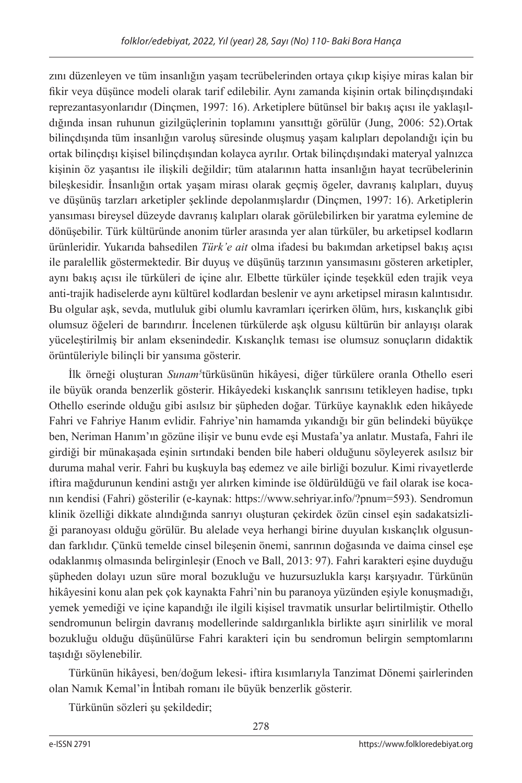zını düzenleyen ve tüm insanlığın yaşam tecrübelerinden ortaya çıkıp kişiye miras kalan bir fikir veya düşünce modeli olarak tarif edilebilir. Aynı zamanda kişinin ortak bilinçdışındaki reprezantasyonlarıdır (Dinçmen, 1997: 16). Arketiplere bütünsel bir bakış açısı ile yaklaşıldığında insan ruhunun gizilgüçlerinin toplamını yansıttığı görülür (Jung, 2006: 52).Ortak bilinçdışında tüm insanlığın varoluş süresinde oluşmuş yaşam kalıpları depolandığı için bu ortak bilinçdışı kişisel bilinçdışından kolayca ayrılır. Ortak bilinçdışındaki materyal yalnızca kişinin öz yaşantısı ile ilişkili değildir; tüm atalarının hatta insanlığın hayat tecrübelerinin bileşkesidir. İnsanlığın ortak yaşam mirası olarak geçmiş ögeler, davranış kalıpları, duyuş ve düşünüş tarzları arketipler şeklinde depolanmışlardır (Dinçmen, 1997: 16). Arketiplerin yansıması bireysel düzeyde davranış kalıpları olarak görülebilirken bir yaratma eylemine de dönüşebilir. Türk kültüründe anonim türler arasında yer alan türküler, bu arketipsel kodların ürünleridir. Yukarıda bahsedilen *Türk'e ait* olma ifadesi bu bakımdan arketipsel bakış açısı ile paralellik göstermektedir. Bir duyuş ve düşünüş tarzının yansımasını gösteren arketipler, aynı bakış açısı ile türküleri de içine alır. Elbette türküler içinde teşekkül eden trajik veya anti-trajik hadiselerde aynı kültürel kodlardan beslenir ve aynı arketipsel mirasın kalıntısıdır. Bu olgular aşk, sevda, mutluluk gibi olumlu kavramları içerirken ölüm, hırs, kıskançlık gibi olumsuz öğeleri de barındırır. İncelenen türkülerde aşk olgusu kültürün bir anlayışı olarak yüceleştirilmiş bir anlam eksenindedir. Kıskançlık teması ise olumsuz sonuçların didaktik örüntüleriyle bilinçli bir yansıma gösterir.

İlk örneği oluşturan *Sunam<sup>5</sup>t*ürküsünün hikâyesi, diğer türkülere oranla Othello eseri ile büyük oranda benzerlik gösterir. Hikâyedeki kıskançlık sanrısını tetikleyen hadise, tıpkı Othello eserinde olduğu gibi asılsız bir şüpheden doğar. Türküye kaynaklık eden hikâyede Fahri ve Fahriye Hanım evlidir. Fahriye'nin hamamda yıkandığı bir gün belindeki büyükçe ben, Neriman Hanım'ın gözüne ilişir ve bunu evde eşi Mustafa'ya anlatır. Mustafa, Fahri ile girdiği bir münakaşada eşinin sırtındaki benden bile haberi olduğunu söyleyerek asılsız bir duruma mahal verir. Fahri bu kuşkuyla baş edemez ve aile birliği bozulur. Kimi rivayetlerde iftira mağdurunun kendini astığı yer alırken kiminde ise öldürüldüğü ve fail olarak ise kocanın kendisi (Fahri) gösterilir (e-kaynak: https://www.sehriyar.info/?pnum=593). Sendromun klinik özelliği dikkate alındığında sanrıyı oluşturan çekirdek özün cinsel eşin sadakatsizliği paranoyası olduğu görülür. Bu alelade veya herhangi birine duyulan kıskançlık olgusundan farklıdır. Çünkü temelde cinsel bileşenin önemi, sanrının doğasında ve daima cinsel eşe odaklanmış olmasında belirginleşir (Enoch ve Ball, 2013: 97). Fahri karakteri eşine duyduğu şüpheden dolayı uzun süre moral bozukluğu ve huzursuzlukla karşı karşıyadır. Türkünün hikâyesini konu alan pek çok kaynakta Fahri'nin bu paranoya yüzünden eşiyle konuşmadığı, yemek yemediği ve içine kapandığı ile ilgili kişisel travmatik unsurlar belirtilmiştir. Othello sendromunun belirgin davranış modellerinde saldırganlıkla birlikte aşırı sinirlilik ve moral bozukluğu olduğu düşünülürse Fahri karakteri için bu sendromun belirgin semptomlarını taşıdığı söylenebilir.

Türkünün hikâyesi, ben/doğum lekesi- iftira kısımlarıyla Tanzimat Dönemi şairlerinden olan Namık Kemal'in İntibah romanı ile büyük benzerlik gösterir.

Türkünün sözleri şu şekildedir;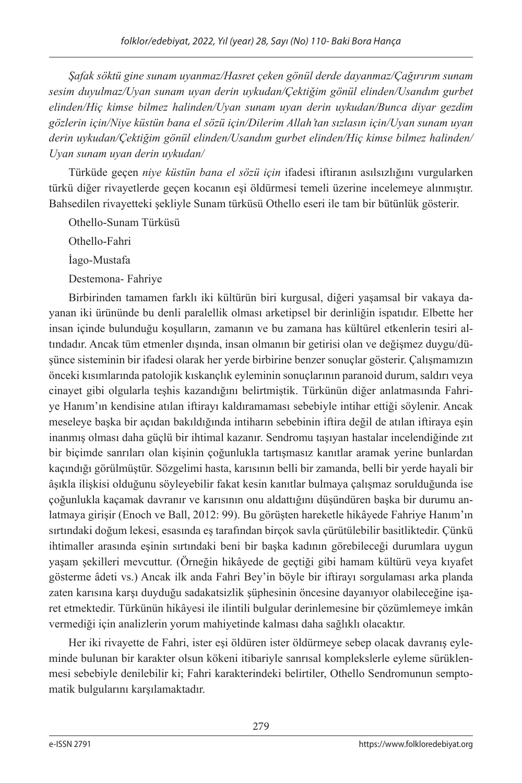*Şafak söktü gine sunam uyanmaz/Hasret çeken gönül derde dayanmaz/Çağırırım sunam sesim duyulmaz/Uyan sunam uyan derin uykudan/Çektiğim gönül elinden/Usandım gurbet elinden/Hiç kimse bilmez halinden/Uyan sunam uyan derin uykudan/Bunca diyar gezdim gözlerin için/Niye küstün bana el sözü için/Dilerim Allah'tan sızlasın için/Uyan sunam uyan derin uykudan/Çektiğim gönül elinden/Usandım gurbet elinden/Hiç kimse bilmez halinden/ Uyan sunam uyan derin uykudan/*

Türküde geçen *niye küstün bana el sözü için* ifadesi iftiranın asılsızlığını vurgularken türkü diğer rivayetlerde geçen kocanın eşi öldürmesi temeli üzerine incelemeye alınmıştır. Bahsedilen rivayetteki şekliyle Sunam türküsü Othello eseri ile tam bir bütünlük gösterir.

Othello-Sunam Türküsü

Othello-Fahri

İago-Mustafa

Destemona- Fahriye

Birbirinden tamamen farklı iki kültürün biri kurgusal, diğeri yaşamsal bir vakaya dayanan iki ürününde bu denli paralellik olması arketipsel bir derinliğin ispatıdır. Elbette her insan içinde bulunduğu koşulların, zamanın ve bu zamana has kültürel etkenlerin tesiri altındadır. Ancak tüm etmenler dışında, insan olmanın bir getirisi olan ve değişmez duygu/düşünce sisteminin bir ifadesi olarak her yerde birbirine benzer sonuçlar gösterir. Çalışmamızın önceki kısımlarında patolojik kıskançlık eyleminin sonuçlarının paranoid durum, saldırı veya cinayet gibi olgularla teşhis kazandığını belirtmiştik. Türkünün diğer anlatmasında Fahriye Hanım'ın kendisine atılan iftirayı kaldıramaması sebebiyle intihar ettiği söylenir. Ancak meseleye başka bir açıdan bakıldığında intiharın sebebinin iftira değil de atılan iftiraya eşin inanmış olması daha güçlü bir ihtimal kazanır. Sendromu taşıyan hastalar incelendiğinde zıt bir biçimde sanrıları olan kişinin çoğunlukla tartışmasız kanıtlar aramak yerine bunlardan kaçındığı görülmüştür. Sözgelimi hasta, karısının belli bir zamanda, belli bir yerde hayali bir âşıkla ilişkisi olduğunu söyleyebilir fakat kesin kanıtlar bulmaya çalışmaz sorulduğunda ise çoğunlukla kaçamak davranır ve karısının onu aldattığını düşündüren başka bir durumu anlatmaya girişir (Enoch ve Ball, 2012: 99). Bu görüşten hareketle hikâyede Fahriye Hanım'ın sırtındaki doğum lekesi, esasında eş tarafından birçok savla çürütülebilir basitliktedir. Çünkü ihtimaller arasında eşinin sırtındaki beni bir başka kadının görebileceği durumlara uygun yaşam şekilleri mevcuttur. (Örneğin hikâyede de geçtiği gibi hamam kültürü veya kıyafet gösterme âdeti vs.) Ancak ilk anda Fahri Bey'in böyle bir iftirayı sorgulaması arka planda zaten karısına karşı duyduğu sadakatsizlik şüphesinin öncesine dayanıyor olabileceğine işaret etmektedir. Türkünün hikâyesi ile ilintili bulgular derinlemesine bir çözümlemeye imkân vermediği için analizlerin yorum mahiyetinde kalması daha sağlıklı olacaktır.

Her iki rivayette de Fahri, ister eşi öldüren ister öldürmeye sebep olacak davranış eyleminde bulunan bir karakter olsun kökeni itibariyle sanrısal komplekslerle eyleme sürüklenmesi sebebiyle denilebilir ki; Fahri karakterindeki belirtiler, Othello Sendromunun semptomatik bulgularını karşılamaktadır.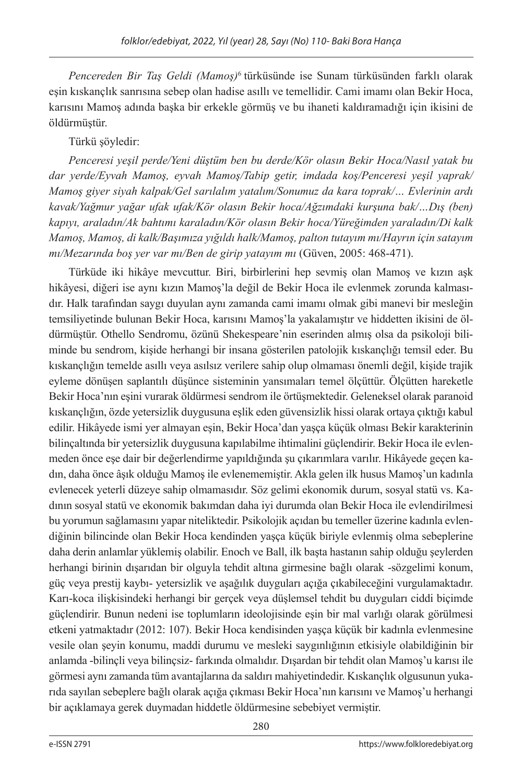*Pencereden Bir Taş Geldi (Mamoş)*6 türküsünde ise Sunam türküsünden farklı olarak eşin kıskançlık sanrısına sebep olan hadise asıllı ve temellidir. Cami imamı olan Bekir Hoca, karısını Mamoş adında başka bir erkekle görmüş ve bu ihaneti kaldıramadığı için ikisini de öldürmüştür.

## Türkü şöyledir:

*Penceresi yeşil perde/Yeni düştüm ben bu derde/Kör olasın Bekir Hoca/Nasıl yatak bu dar yerde/Eyvah Mamoş, eyvah Mamoş/Tabip getir, imdada koş/Penceresi yeşil yaprak/ Mamoş giyer siyah kalpak/Gel sarılalım yatalım/Sonumuz da kara toprak/… Evlerinin ardı kavak/Yağmur yağar ufak ufak/Kör olasın Bekir hoca/Ağzımdaki kurşuna bak/…Dış (ben) kapıyı, araladın/Ak bahtımı karaladın/Kör olasın Bekir hoca/Yüreğimden yaraladın/Di kalk Mamoş, Mamoş, di kalk/Başımıza yığıldı halk/Mamoş, palton tutayım mı/Hayrın için satayım mı/Mezarında boş yer var mı/Ben de girip yatayım mı* (Güven, 2005: 468-471).

Türküde iki hikâye mevcuttur. Biri, birbirlerini hep sevmiş olan Mamoş ve kızın aşk hikâyesi, diğeri ise aynı kızın Mamoş'la değil de Bekir Hoca ile evlenmek zorunda kalmasıdır. Halk tarafından saygı duyulan aynı zamanda cami imamı olmak gibi manevi bir mesleğin temsiliyetinde bulunan Bekir Hoca, karısını Mamoş'la yakalamıştır ve hiddetten ikisini de öldürmüştür. Othello Sendromu, özünü Shekespeare'nin eserinden almış olsa da psikoloji biliminde bu sendrom, kişide herhangi bir insana gösterilen patolojik kıskançlığı temsil eder. Bu kıskançlığın temelde asıllı veya asılsız verilere sahip olup olmaması önemli değil, kişide trajik eyleme dönüşen saplantılı düşünce sisteminin yansımaları temel ölçüttür. Ölçütten hareketle Bekir Hoca'nın eşini vurarak öldürmesi sendrom ile örtüşmektedir. Geleneksel olarak paranoid kıskançlığın, özde yetersizlik duygusuna eşlik eden güvensizlik hissi olarak ortaya çıktığı kabul edilir. Hikâyede ismi yer almayan eşin, Bekir Hoca'dan yaşça küçük olması Bekir karakterinin bilinçaltında bir yetersizlik duygusuna kapılabilme ihtimalini güçlendirir. Bekir Hoca ile evlenmeden önce eşe dair bir değerlendirme yapıldığında şu çıkarımlara varılır. Hikâyede geçen kadın, daha önce âşık olduğu Mamoş ile evlenememiştir. Akla gelen ilk husus Mamoş'un kadınla evlenecek yeterli düzeye sahip olmamasıdır. Söz gelimi ekonomik durum, sosyal statü vs. Kadının sosyal statü ve ekonomik bakımdan daha iyi durumda olan Bekir Hoca ile evlendirilmesi bu yorumun sağlamasını yapar niteliktedir. Psikolojik açıdan bu temeller üzerine kadınla evlendiğinin bilincinde olan Bekir Hoca kendinden yaşça küçük biriyle evlenmiş olma sebeplerine daha derin anlamlar yüklemiş olabilir. Enoch ve Ball, ilk başta hastanın sahip olduğu şeylerden herhangi birinin dışarıdan bir olguyla tehdit altına girmesine bağlı olarak -sözgelimi konum, güç veya prestij kaybı- yetersizlik ve aşağılık duyguları açığa çıkabileceğini vurgulamaktadır. Karı-koca ilişkisindeki herhangi bir gerçek veya düşlemsel tehdit bu duyguları ciddi biçimde güçlendirir. Bunun nedeni ise toplumların ideolojisinde eşin bir mal varlığı olarak görülmesi etkeni yatmaktadır (2012: 107). Bekir Hoca kendisinden yaşça küçük bir kadınla evlenmesine vesile olan şeyin konumu, maddi durumu ve mesleki saygınlığının etkisiyle olabildiğinin bir anlamda -bilinçli veya bilinçsiz- farkında olmalıdır. Dışardan bir tehdit olan Mamoş'u karısı ile görmesi aynı zamanda tüm avantajlarına da saldırı mahiyetindedir. Kıskançlık olgusunun yukarıda sayılan sebeplere bağlı olarak açığa çıkması Bekir Hoca'nın karısını ve Mamoş'u herhangi bir açıklamaya gerek duymadan hiddetle öldürmesine sebebiyet vermiştir.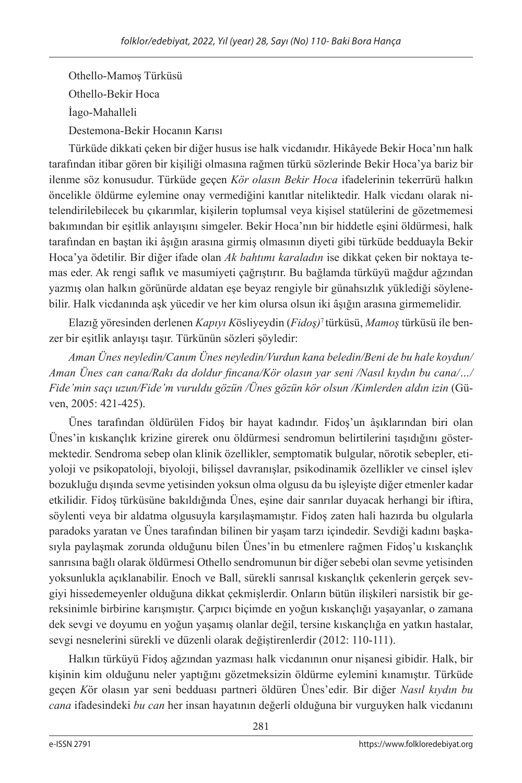Othello-Mamoş Türküsü Othello-Bekir Hoca İago-Mahalleli Destemona-Bekir Hocanın Karısı

Türküde dikkati çeken bir diğer husus ise halk vicdanıdır. Hikâyede Bekir Hoca'nın halk tarafından itibar gören bir kişiliği olmasına rağmen türkü sözlerinde Bekir Hoca'ya bariz bir ilenme söz konusudur. Türküde geçen *Kör olasın Bekir Hoca* ifadelerinin tekerrürü halkın öncelikle öldürme eylemine onay vermediğini kanıtlar niteliktedir. Halk vicdanı olarak nitelendirilebilecek bu çıkarımlar, kişilerin toplumsal veya kişisel statülerini de gözetmemesi bakımından bir eşitlik anlayışını simgeler. Bekir Hoca'nın bir hiddetle eşini öldürmesi, halk tarafından en baştan iki âşığın arasına girmiş olmasının diyeti gibi türküde bedduayla Bekir Hoca'ya ödetilir. Bir diğer ifade olan *Ak bahtımı karaladın* ise dikkat çeken bir noktaya temas eder. Ak rengi saflık ve masumiyeti çağrıştırır. Bu bağlamda türküyü mağdur ağzından yazmış olan halkın görünürde aldatan eşe beyaz rengiyle bir günahsızlık yüklediği söylenebilir. Halk vicdanında aşk yücedir ve her kim olursa olsun iki âşığın arasına girmemelidir.

Elazığ yöresinden derlenen *Kapıyı K*ösliyeydin (*Fidoş)*7 türküsü, *Mamoş* türküsü ile benzer bir eşitlik anlayışı taşır. Türkünün sözleri şöyledir:

*Aman Ünes neyledin/Canım Ünes neyledin/Vurdun kana beledin/Beni de bu hale koydun/ Aman Ünes can cana/Rakı da doldur fincana/Kör olasın yar seni /Nasıl kıydın bu cana/…/ Fide'min saçı uzun/Fide'm vuruldu gözün /Ünes gözün kör olsun /Kimlerden aldın izin* (Güven, 2005: 421-425).

Ünes tarafından öldürülen Fidoş bir hayat kadındır. Fidoş'un âşıklarından biri olan Ünes'in kıskançlık krizine girerek onu öldürmesi sendromun belirtilerini taşıdığını göstermektedir. Sendroma sebep olan klinik özellikler, semptomatik bulgular, nörotik sebepler, etiyoloji ve psikopatoloji, biyoloji, bilişsel davranışlar, psikodinamik özellikler ve cinsel işlev bozukluğu dışında sevme yetisinden yoksun olma olgusu da bu işleyişte diğer etmenler kadar etkilidir. Fidoş türküsüne bakıldığında Ünes, eşine dair sanrılar duyacak herhangi bir iftira, söylenti veya bir aldatma olgusuyla karşılaşmamıştır. Fidoş zaten hali hazırda bu olgularla paradoks yaratan ve Ünes tarafından bilinen bir yaşam tarzı içindedir. Sevdiği kadını başkasıyla paylaşmak zorunda olduğunu bilen Ünes'in bu etmenlere rağmen Fidoş'u kıskançlık sanrısına bağlı olarak öldürmesi Othello sendromunun bir diğer sebebi olan sevme yetisinden yoksunlukla açıklanabilir. Enoch ve Ball, sürekli sanrısal kıskançlık çekenlerin gerçek sevgiyi hissedemeyenler olduğuna dikkat çekmişlerdir. Onların bütün ilişkileri narsistik bir gereksinimle birbirine karışmıştır. Çarpıcı biçimde en yoğun kıskançlığı yaşayanlar, o zamana dek sevgi ve doyumu en yoğun yaşamış olanlar değil, tersine kıskançlığa en yatkın hastalar, sevgi nesnelerini sürekli ve düzenli olarak değiştirenlerdir (2012: 110-111).

Halkın türküyü Fidoş ağzından yazması halk vicdanının onur nişanesi gibidir. Halk, bir kişinin kim olduğunu neler yaptığını gözetmeksizin öldürme eylemini kınamıştır. Türküde geçen *K*ör olasın yar seni bedduası partneri öldüren Ünes'edir. Bir diğer *Nasıl kıydın bu cana* ifadesindeki *bu can* her insan hayatının değerli olduğuna bir vurguyken halk vicdanını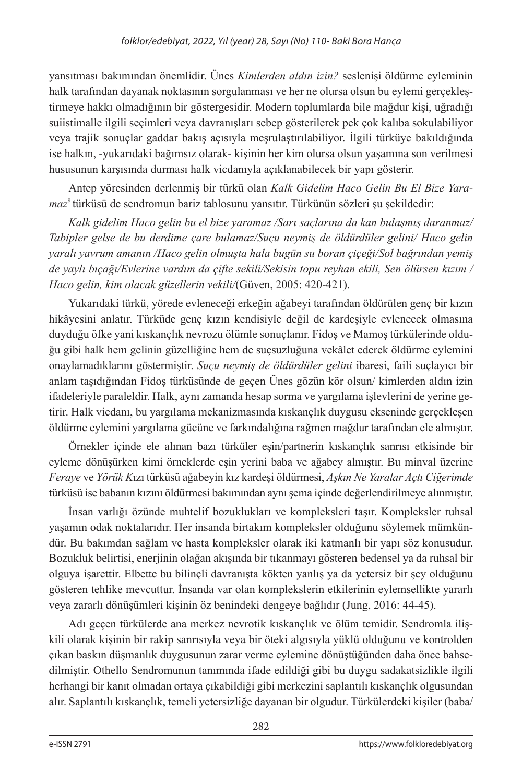yansıtması bakımından önemlidir. Ünes *Kimlerden aldın izin?* seslenişi öldürme eyleminin halk tarafından dayanak noktasının sorgulanması ve her ne olursa olsun bu eylemi gerçekleştirmeye hakkı olmadığının bir göstergesidir. Modern toplumlarda bile mağdur kişi, uğradığı suiistimalle ilgili seçimleri veya davranışları sebep gösterilerek pek çok kalıba sokulabiliyor veya trajik sonuçlar gaddar bakış açısıyla meşrulaştırılabiliyor. İlgili türküye bakıldığında ise halkın, -yukarıdaki bağımsız olarak- kişinin her kim olursa olsun yaşamına son verilmesi hususunun karşısında durması halk vicdanıyla açıklanabilecek bir yapı gösterir.

Antep yöresinden derlenmiş bir türkü olan *Kalk Gidelim Haco Gelin Bu El Bize Yaramaz*8 türküsü de sendromun bariz tablosunu yansıtır. Türkünün sözleri şu şekildedir:

*Kalk gidelim Haco gelin bu el bize yaramaz /Sarı saçlarına da kan bulaşmış daranmaz/ Tabipler gelse de bu derdime çare bulamaz/Suçu neymiş de öldürdüler gelini/ Haco gelin yaralı yavrum amanın /Haco gelin olmuşta hala bugün su boran çiçeği/Sol bağrından yemiş de yaylı bıçağı/Evlerine vardım da çifte sekili/Sekisin topu reyhan ekili, Sen ölürsen kızım / Haco gelin, kim olacak güzellerin vekili/*(Güven, 2005: 420-421).

Yukarıdaki türkü, yörede evleneceği erkeğin ağabeyi tarafından öldürülen genç bir kızın hikâyesini anlatır. Türküde genç kızın kendisiyle değil de kardeşiyle evlenecek olmasına duyduğu öfke yani kıskançlık nevrozu ölümle sonuçlanır. Fidoş ve Mamoş türkülerinde olduğu gibi halk hem gelinin güzelliğine hem de suçsuzluğuna vekâlet ederek öldürme eylemini onaylamadıklarını göstermiştir. *Suçu neymiş de öldürdüler gelini* ibaresi, faili suçlayıcı bir anlam taşıdığından Fidoş türküsünde de geçen Ünes gözün kör olsun/ kimlerden aldın izin ifadeleriyle paraleldir. Halk, aynı zamanda hesap sorma ve yargılama işlevlerini de yerine getirir. Halk vicdanı, bu yargılama mekanizmasında kıskançlık duygusu ekseninde gerçekleşen öldürme eylemini yargılama gücüne ve farkındalığına rağmen mağdur tarafından ele almıştır.

Örnekler içinde ele alınan bazı türküler eşin/partnerin kıskançlık sanrısı etkisinde bir eyleme dönüşürken kimi örneklerde eşin yerini baba ve ağabey almıştır. Bu minval üzerine *Feraye* ve *Yörük K*ızı türküsü ağabeyin kız kardeşi öldürmesi, *Aşkın Ne Yaralar Açtı Ciğerimde* türküsü ise babanın kızını öldürmesi bakımından aynı şema içinde değerlendirilmeye alınmıştır.

İnsan varlığı özünde muhtelif bozuklukları ve kompleksleri taşır. Kompleksler ruhsal yaşamın odak noktalarıdır. Her insanda birtakım kompleksler olduğunu söylemek mümkündür. Bu bakımdan sağlam ve hasta kompleksler olarak iki katmanlı bir yapı söz konusudur. Bozukluk belirtisi, enerjinin olağan akışında bir tıkanmayı gösteren bedensel ya da ruhsal bir olguya işarettir. Elbette bu bilinçli davranışta kökten yanlış ya da yetersiz bir şey olduğunu gösteren tehlike mevcuttur. İnsanda var olan komplekslerin etkilerinin eylemsellikte yararlı veya zararlı dönüşümleri kişinin öz benindeki dengeye bağlıdır (Jung, 2016: 44-45).

Adı geçen türkülerde ana merkez nevrotik kıskançlık ve ölüm temidir. Sendromla ilişkili olarak kişinin bir rakip sanrısıyla veya bir öteki algısıyla yüklü olduğunu ve kontrolden çıkan baskın düşmanlık duygusunun zarar verme eylemine dönüştüğünden daha önce bahsedilmiştir. Othello Sendromunun tanımında ifade edildiği gibi bu duygu sadakatsizlikle ilgili herhangi bir kanıt olmadan ortaya çıkabildiği gibi merkezini saplantılı kıskançlık olgusundan alır. Saplantılı kıskançlık, temeli yetersizliğe dayanan bir olgudur. Türkülerdeki kişiler (baba/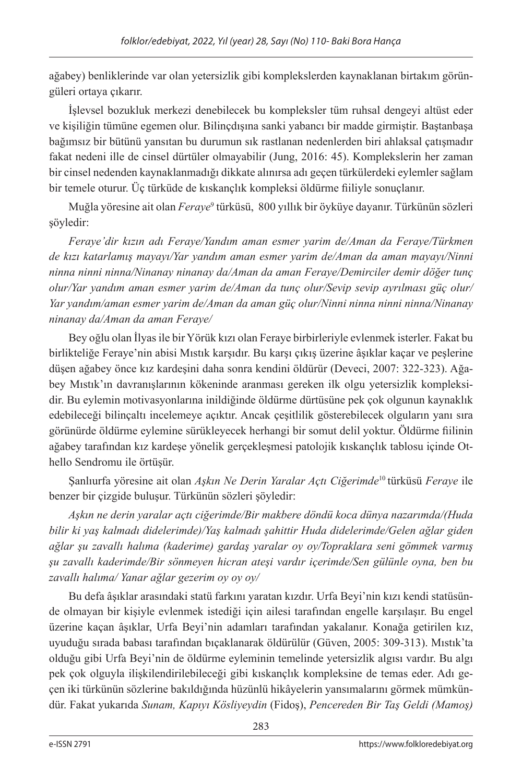ağabey) benliklerinde var olan yetersizlik gibi komplekslerden kaynaklanan birtakım görüngüleri ortaya çıkarır.

İşlevsel bozukluk merkezi denebilecek bu kompleksler tüm ruhsal dengeyi altüst eder ve kişiliğin tümüne egemen olur. Bilinçdışına sanki yabancı bir madde girmiştir. Baştanbaşa bağımsız bir bütünü yansıtan bu durumun sık rastlanan nedenlerden biri ahlaksal çatışmadır fakat nedeni ille de cinsel dürtüler olmayabilir (Jung, 2016: 45). Komplekslerin her zaman bir cinsel nedenden kaynaklanmadığı dikkate alınırsa adı geçen türkülerdeki eylemler sağlam bir temele oturur. Üç türküde de kıskançlık kompleksi öldürme fiiliyle sonuçlanır.

Muğla yöresine ait olan *Feraye*° türküsü, 800 yıllık bir öyküye dayanır. Türkünün sözleri şöyledir:

*Feraye'dir kızın adı Feraye/Yandım aman esmer yarim de/Aman da Feraye/Türkmen de kızı katarlamış mayayı/Yar yandım aman esmer yarim de/Aman da aman mayayı/Ninni ninna ninni ninna/Ninanay ninanay da/Aman da aman Feraye/Demirciler demir döğer tunç olur/Yar yandım aman esmer yarim de/Aman da tunç olur/Sevip sevip ayrılması güç olur/ Yar yandım/aman esmer yarim de/Aman da aman güç olur/Ninni ninna ninni ninna/Ninanay ninanay da/Aman da aman Feraye/*

Bey oğlu olan İlyas ile bir Yörük kızı olan Feraye birbirleriyle evlenmek isterler. Fakat bu birlikteliğe Feraye'nin abisi Mıstık karşıdır. Bu karşı çıkış üzerine âşıklar kaçar ve peşlerine düşen ağabey önce kız kardeşini daha sonra kendini öldürür (Deveci, 2007: 322-323). Ağabey Mıstık'ın davranışlarının kökeninde aranması gereken ilk olgu yetersizlik kompleksidir. Bu eylemin motivasyonlarına inildiğinde öldürme dürtüsüne pek çok olgunun kaynaklık edebileceği bilinçaltı incelemeye açıktır. Ancak çeşitlilik gösterebilecek olguların yanı sıra görünürde öldürme eylemine sürükleyecek herhangi bir somut delil yoktur. Öldürme fiilinin ağabey tarafından kız kardeşe yönelik gerçekleşmesi patolojik kıskançlık tablosu içinde Othello Sendromu ile örtüşür.

Şanlıurfa yöresine ait olan *Aşkın Ne Derin Yaralar Açtı Ciğerimde*10 türküsü *Feraye* ile benzer bir çizgide buluşur. Türkünün sözleri şöyledir:

*Aşkın ne derin yaralar açtı ciğerimde/Bir makbere döndü koca dünya nazarımda/(Huda bilir ki yaş kalmadı didelerimde)/Yaş kalmadı şahittir Huda didelerimde/Gelen ağlar giden ağlar şu zavallı halıma (kaderime) gardaş yaralar oy oy/Topraklara seni gömmek varmış şu zavallı kaderimde/Bir sönmeyen hicran ateşi vardır içerimde/Sen gülünle oyna, ben bu zavallı halıma/ Yanar ağlar gezerim oy oy oy/*

Bu defa âşıklar arasındaki statü farkını yaratan kızdır. Urfa Beyi'nin kızı kendi statüsünde olmayan bir kişiyle evlenmek istediği için ailesi tarafından engelle karşılaşır. Bu engel üzerine kaçan âşıklar, Urfa Beyi'nin adamları tarafından yakalanır. Konağa getirilen kız, uyuduğu sırada babası tarafından bıçaklanarak öldürülür (Güven, 2005: 309-313). Mıstık'ta olduğu gibi Urfa Beyi'nin de öldürme eyleminin temelinde yetersizlik algısı vardır. Bu algı pek çok olguyla ilişkilendirilebileceği gibi kıskançlık kompleksine de temas eder. Adı geçen iki türkünün sözlerine bakıldığında hüzünlü hikâyelerin yansımalarını görmek mümkündür. Fakat yukarıda *Sunam, Kapıyı Kösliyeydin* (Fidoş), *Pencereden Bir Taş Geldi (Mamoş)*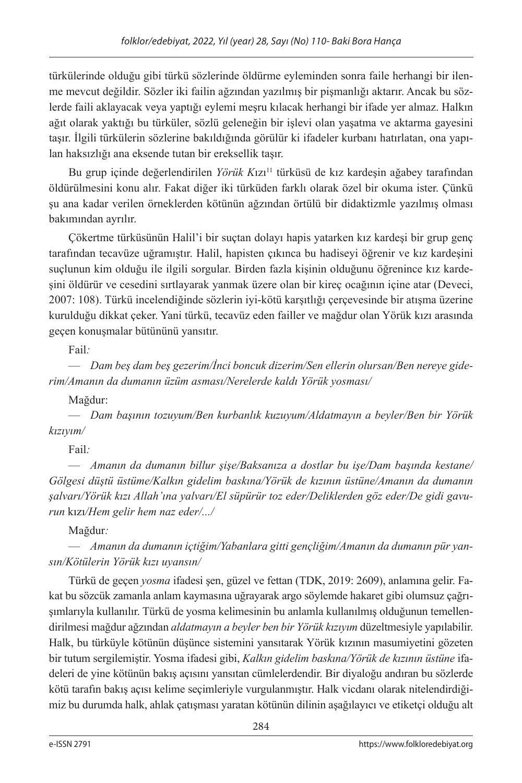türkülerinde olduğu gibi türkü sözlerinde öldürme eyleminden sonra faile herhangi bir ilenme mevcut değildir. Sözler iki failin ağzından yazılmış bir pişmanlığı aktarır. Ancak bu sözlerde faili aklayacak veya yaptığı eylemi meşru kılacak herhangi bir ifade yer almaz. Halkın ağıt olarak yaktığı bu türküler, sözlü geleneğin bir işlevi olan yaşatma ve aktarma gayesini taşır. İlgili türkülerin sözlerine bakıldığında görülür ki ifadeler kurbanı hatırlatan, ona yapılan haksızlığı ana eksende tutan bir ereksellik taşır.

Bu grup içinde değerlendirilen *Yörük K*ızı11 türküsü de kız kardeşin ağabey tarafından öldürülmesini konu alır. Fakat diğer iki türküden farklı olarak özel bir okuma ister. Çünkü şu ana kadar verilen örneklerden kötünün ağzından örtülü bir didaktizmle yazılmış olması bakımından ayrılır.

Çökertme türküsünün Halil'i bir suçtan dolayı hapis yatarken kız kardeşi bir grup genç tarafından tecavüze uğramıştır. Halil, hapisten çıkınca bu hadiseyi öğrenir ve kız kardeşini suçlunun kim olduğu ile ilgili sorgular. Birden fazla kişinin olduğunu öğrenince kız kardeşini öldürür ve cesedini sırtlayarak yanmak üzere olan bir kireç ocağının içine atar (Deveci, 2007: 108). Türkü incelendiğinde sözlerin iyi-kötü karşıtlığı çerçevesinde bir atışma üzerine kurulduğu dikkat çeker. Yani türkü, tecavüz eden failler ve mağdur olan Yörük kızı arasında geçen konuşmalar bütününü yansıtır.

Fail*:*

— *Dam beş dam beş gezerim/İnci boncuk dizerim/Sen ellerin olursan/Ben nereye giderim/Amanın da dumanın üzüm asması/Nerelerde kaldı Yörük yosması/*

Mağdur:

— *Dam başının tozuyum/Ben kurbanlık kuzuyum/Aldatmayın a beyler/Ben bir Yörük kızıyım/*

Fail*:*

— *Amanın da dumanın billur şişe/Baksanıza a dostlar bu işe/Dam başında kestane/ Gölgesi düştü üstüme/Kalkın gidelim baskına/Yörük de kızının üstüne/Amanın da dumanın şalvarı/Yörük kızı Allah'ına yalvarı/El süpürür toz eder/Deliklerden göz eder/De gidi gavurun* kızı*/Hem gelir hem naz eder/.../*

Mağdur*:*

— *Amanın da dumanın içtiğim/Yabanlara gitti gençliğim/Amanın da dumanın pür yansın/Kötülerin Yörük kızı uyansın/*

Türkü de geçen *yosma* ifadesi şen, güzel ve fettan (TDK, 2019: 2609), anlamına gelir. Fakat bu sözcük zamanla anlam kaymasına uğrayarak argo söylemde hakaret gibi olumsuz çağrışımlarıyla kullanılır. Türkü de yosma kelimesinin bu anlamla kullanılmış olduğunun temellendirilmesi mağdur ağzından *aldatmayın a beyler ben bir Yörük kızıyım* düzeltmesiyle yapılabilir. Halk, bu türküyle kötünün düşünce sistemini yansıtarak Yörük kızının masumiyetini gözeten bir tutum sergilemiştir. Yosma ifadesi gibi, *Kalkın gidelim baskına/Yörük de kızının üstüne* ifadeleri de yine kötünün bakış açısını yansıtan cümlelerdendir. Bir diyaloğu andıran bu sözlerde kötü tarafın bakış açısı kelime seçimleriyle vurgulanmıştır. Halk vicdanı olarak nitelendirdiğimiz bu durumda halk, ahlak çatışması yaratan kötünün dilinin aşağılayıcı ve etiketçi olduğu alt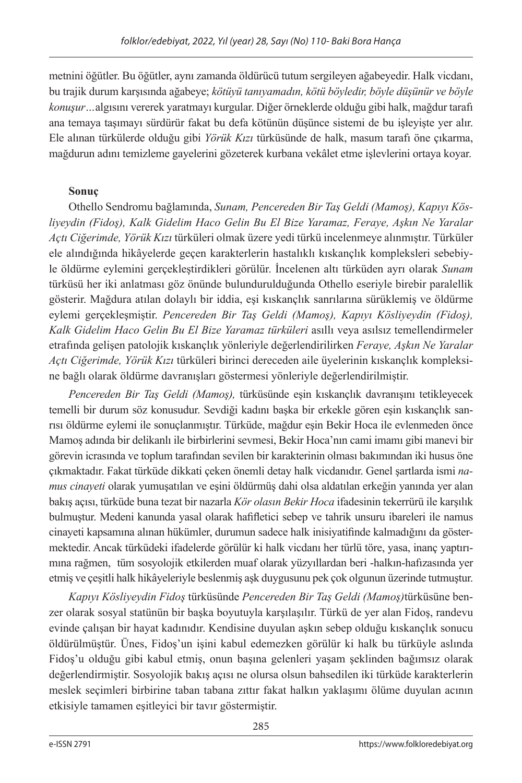metnini öğütler. Bu öğütler, aynı zamanda öldürücü tutum sergileyen ağabeyedir. Halk vicdanı, bu trajik durum karşısında ağabeye; *kötüyü tanıyamadın, kötü böyledir, böyle düşünür ve böyle konuşur…*algısını vererek yaratmayı kurgular. Diğer örneklerde olduğu gibi halk, mağdur tarafı ana temaya taşımayı sürdürür fakat bu defa kötünün düşünce sistemi de bu işleyişte yer alır. Ele alınan türkülerde olduğu gibi *Yörük Kızı* türküsünde de halk, masum tarafı öne çıkarma, mağdurun adını temizleme gayelerini gözeterek kurbana vekâlet etme işlevlerini ortaya koyar.

### **Sonuç**

Othello Sendromu bağlamında, *Sunam, Pencereden Bir Taş Geldi (Mamoş), Kapıyı Kösliyeydin (Fidoş), Kalk Gidelim Haco Gelin Bu El Bize Yaramaz, Feraye, Aşkın Ne Yaralar Açtı Ciğerimde, Yörük Kızı* türküleri olmak üzere yedi türkü incelenmeye alınmıştır. Türküler ele alındığında hikâyelerde geçen karakterlerin hastalıklı kıskançlık kompleksleri sebebiyle öldürme eylemini gerçekleştirdikleri görülür. İncelenen altı türküden ayrı olarak *Sunam*  türküsü her iki anlatması göz önünde bulundurulduğunda Othello eseriyle birebir paralellik gösterir. Mağdura atılan dolaylı bir iddia, eşi kıskançlık sanrılarına sürüklemiş ve öldürme eylemi gerçekleşmiştir. *Pencereden Bir Taş Geldi (Mamoş), Kapıyı Kösliyeydin (Fidoş), Kalk Gidelim Haco Gelin Bu El Bize Yaramaz türküleri* asıllı veya asılsız temellendirmeler etrafında gelişen patolojik kıskançlık yönleriyle değerlendirilirken *Feraye, Aşkın Ne Yaralar Açtı Ciğerimde, Yörük Kızı* türküleri birinci dereceden aile üyelerinin kıskançlık kompleksine bağlı olarak öldürme davranışları göstermesi yönleriyle değerlendirilmiştir.

*Pencereden Bir Taş Geldi (Mamoş),* türküsünde eşin kıskançlık davranışını tetikleyecek temelli bir durum söz konusudur. Sevdiği kadını başka bir erkekle gören eşin kıskançlık sanrısı öldürme eylemi ile sonuçlanmıştır. Türküde, mağdur eşin Bekir Hoca ile evlenmeden önce Mamoş adında bir delikanlı ile birbirlerini sevmesi, Bekir Hoca'nın cami imamı gibi manevi bir görevin icrasında ve toplum tarafından sevilen bir karakterinin olması bakımından iki husus öne çıkmaktadır. Fakat türküde dikkati çeken önemli detay halk vicdanıdır. Genel şartlarda ismi *namus cinayeti* olarak yumuşatılan ve eşini öldürmüş dahi olsa aldatılan erkeğin yanında yer alan bakış açısı, türküde buna tezat bir nazarla *Kör olasın Bekir Hoca* ifadesinin tekerrürü ile karşılık bulmuştur. Medeni kanunda yasal olarak hafifletici sebep ve tahrik unsuru ibareleri ile namus cinayeti kapsamına alınan hükümler, durumun sadece halk inisiyatifinde kalmadığını da göstermektedir. Ancak türküdeki ifadelerde görülür ki halk vicdanı her türlü töre, yasa, inanç yaptırımına rağmen, tüm sosyolojik etkilerden muaf olarak yüzyıllardan beri -halkın-hafızasında yer etmiş ve çeşitli halk hikâyeleriyle beslenmiş aşk duygusunu pek çok olgunun üzerinde tutmuştur.

*Kapıyı Kösliyeydin Fidoş* türküsünde *Pencereden Bir Taş Geldi (Mamoş)*türküsüne benzer olarak sosyal statünün bir başka boyutuyla karşılaşılır. Türkü de yer alan Fidoş, randevu evinde çalışan bir hayat kadınıdır. Kendisine duyulan aşkın sebep olduğu kıskançlık sonucu öldürülmüştür. Ünes, Fidoş'un işini kabul edemezken görülür ki halk bu türküyle aslında Fidoş'u olduğu gibi kabul etmiş, onun başına gelenleri yaşam şeklinden bağımsız olarak değerlendirmiştir. Sosyolojik bakış açısı ne olursa olsun bahsedilen iki türküde karakterlerin meslek seçimleri birbirine taban tabana zıttır fakat halkın yaklaşımı ölüme duyulan acının etkisiyle tamamen eşitleyici bir tavır göstermiştir.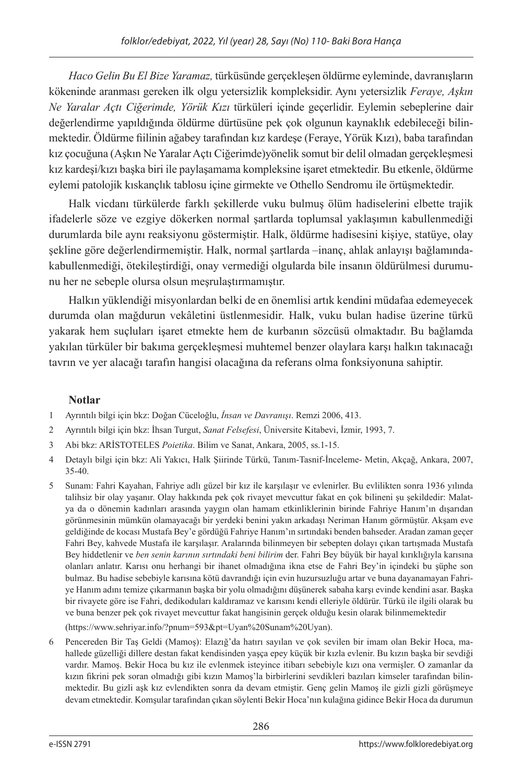*Haco Gelin Bu El Bize Yaramaz,* türküsünde gerçekleşen öldürme eyleminde, davranışların kökeninde aranması gereken ilk olgu yetersizlik kompleksidir. Aynı yetersizlik *Feraye, Aşkın Ne Yaralar Açtı Ciğerimde, Yörük Kızı* türküleri içinde geçerlidir. Eylemin sebeplerine dair değerlendirme yapıldığında öldürme dürtüsüne pek çok olgunun kaynaklık edebileceği bilinmektedir. Öldürme fiilinin ağabey tarafından kız kardeşe (Feraye, Yörük Kızı), baba tarafından kız çocuğuna (Aşkın Ne Yaralar Açtı Ciğerimde)yönelik somut bir delil olmadan gerçekleşmesi kız kardeşi/kızı başka biri ile paylaşamama kompleksine işaret etmektedir. Bu etkenle, öldürme eylemi patolojik kıskançlık tablosu içine girmekte ve Othello Sendromu ile örtüşmektedir.

Halk vicdanı türkülerde farklı şekillerde vuku bulmuş ölüm hadiselerini elbette trajik ifadelerle söze ve ezgiye dökerken normal şartlarda toplumsal yaklaşımın kabullenmediği durumlarda bile aynı reaksiyonu göstermiştir. Halk, öldürme hadisesini kişiye, statüye, olay şekline göre değerlendirmemiştir. Halk, normal şartlarda –inanç, ahlak anlayışı bağlamındakabullenmediği, ötekileştirdiği, onay vermediği olgularda bile insanın öldürülmesi durumunu her ne sebeple olursa olsun meşrulaştırmamıştır.

Halkın yüklendiği misyonlardan belki de en önemlisi artık kendini müdafaa edemeyecek durumda olan mağdurun vekâletini üstlenmesidir. Halk, vuku bulan hadise üzerine türkü yakarak hem suçluları işaret etmekte hem de kurbanın sözcüsü olmaktadır. Bu bağlamda yakılan türküler bir bakıma gerçekleşmesi muhtemel benzer olaylara karşı halkın takınacağı tavrın ve yer alacağı tarafın hangisi olacağına da referans olma fonksiyonuna sahiptir.

## **Notlar**

- 1 Ayrıntılı bilgi için bkz: Doğan Cüceloğlu, *İnsan ve Davranışı*. Remzi 2006, 413.
- 2 Ayrıntılı bilgi için bkz: İhsan Turgut, *Sanat Felsefesi*, Üniversite Kitabevi, İzmir, 1993, 7.
- 3 Abi bkz: ARİSTOTELES *Poietika*. Bilim ve Sanat, Ankara, 2005, ss.1-15.
- 4 Detaylı bilgi için bkz: Ali Yakıcı, Halk Şiirinde Türkü, Tanım-Tasnif-İnceleme- Metin, Akçağ, Ankara, 2007, 35-40.
- 5 Sunam: Fahri Kayahan, Fahriye adlı güzel bir kız ile karşılaşır ve evlenirler. Bu evlilikten sonra 1936 yılında talihsiz bir olay yaşanır. Olay hakkında pek çok rivayet mevcuttur fakat en çok bilineni şu şekildedir: Malatya da o dönemin kadınları arasında yaygın olan hamam etkinliklerinin birinde Fahriye Hanım'ın dışarıdan görünmesinin mümkün olamayacağı bir yerdeki benini yakın arkadaşı Neriman Hanım görmüştür. Akşam eve geldiğinde de kocası Mustafa Bey'e gördüğü Fahriye Hanım'ın sırtındaki benden bahseder. Aradan zaman geçer Fahri Bey, kahvede Mustafa ile karşılaşır. Aralarında bilinmeyen bir sebepten dolayı çıkan tartışmada Mustafa Bey hiddetlenir ve *ben senin karının sırtındaki beni bilirim* der. Fahri Bey büyük bir hayal kırıklığıyla karısına olanları anlatır. Karısı onu herhangi bir ihanet olmadığına ikna etse de Fahri Bey'in içindeki bu şüphe son bulmaz. Bu hadise sebebiyle karısına kötü davrandığı için evin huzursuzluğu artar ve buna dayanamayan Fahriye Hanım adını temize çıkarmanın başka bir yolu olmadığını düşünerek sabaha karşı evinde kendini asar. Başka bir rivayete göre ise Fahri, dedikoduları kaldıramaz ve karısını kendi elleriyle öldürür. Türkü ile ilgili olarak bu ve buna benzer pek çok rivayet mevcuttur fakat hangisinin gerçek olduğu kesin olarak bilinmemektedir

(https://www.sehriyar.info/?pnum=593&pt=Uyan%20Sunam%20Uyan).

6 Pencereden Bir Taş Geldi (Mamoş): Elazığ'da hatırı sayılan ve çok sevilen bir imam olan Bekir Hoca, mahallede güzelliği dillere destan fakat kendisinden yaşça epey küçük bir kızla evlenir. Bu kızın başka bir sevdiği vardır. Mamoş. Bekir Hoca bu kız ile evlenmek isteyince itibarı sebebiyle kızı ona vermişler. O zamanlar da kızın fikrini pek soran olmadığı gibi kızın Mamoş'la birbirlerini sevdikleri bazıları kimseler tarafından bilinmektedir. Bu gizli aşk kız evlendikten sonra da devam etmiştir. Genç gelin Mamoş ile gizli gizli görüşmeye devam etmektedir. Komşular tarafından çıkan söylenti Bekir Hoca'nın kulağına gidince Bekir Hoca da durumun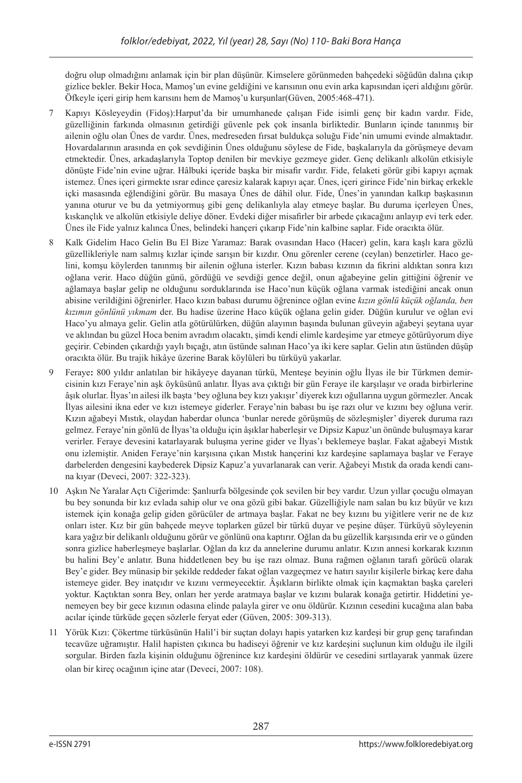doğru olup olmadığını anlamak için bir plan düşünür. Kimselere görünmeden bahçedeki söğüdün dalına çıkıp gizlice bekler. Bekir Hoca, Mamoş'un evine geldiğini ve karısının onu evin arka kapısından içeri aldığını görür. Öfkeyle içeri girip hem karısını hem de Mamoş'u kurşunlar(Güven, 2005:468-471).

- 7 Kapıyı Kösleyeydin (Fidoş):Harput'da bir umumhanede çalışan Fide isimli genç bir kadın vardır. Fide, güzelliğinin farkında olmasının getirdiği güvenle pek çok insanla birliktedir. Bunların içinde tanınmış bir ailenin oğlu olan Ünes de vardır. Ünes, medreseden fırsat buldukça soluğu Fide'nin umumi evinde almaktadır. Hovardalarının arasında en çok sevdiğinin Ünes olduğunu söylese de Fide, başkalarıyla da görüşmeye devam etmektedir. Ünes, arkadaşlarıyla Toptop denilen bir mevkiye gezmeye gider. Genç delikanlı alkolün etkisiyle dönüşte Fide'nin evine uğrar. Hâlbuki içeride başka bir misafir vardır. Fide, felaketi görür gibi kapıyı açmak istemez. Ünes içeri girmekte ısrar edince çaresiz kalarak kapıyı açar. Ünes, içeri girince Fide'nin birkaç erkekle içki masasında eğlendiğini görür. Bu masaya Ünes de dâhil olur. Fide, Ünes'in yanından kalkıp başkasının yanına oturur ve bu da yetmiyormuş gibi genç delikanlıyla alay etmeye başlar. Bu duruma içerleyen Ünes, kıskançlık ve alkolün etkisiyle deliye döner. Evdeki diğer misafirler bir arbede çıkacağını anlayıp evi terk eder. Ünes ile Fide yalnız kalınca Ünes, belindeki hançeri çıkarıp Fide'nin kalbine saplar. Fide oracıkta ölür.
- 8 Kalk Gidelim Haco Gelin Bu El Bize Yaramaz: Barak ovasından Haco (Hacer) gelin, kara kaşlı kara gözlü güzellikleriyle nam salmış kızlar içinde sarışın bir kızdır. Onu görenler cerene (ceylan) benzetirler. Haco gelini, komşu köylerden tanınmış bir ailenin oğluna isterler. Kızın babası kızının da fikrini aldıktan sonra kızı oğlana verir. Haco düğün günü, gördüğü ve sevdiği gence değil, onun ağabeyine gelin gittiğini öğrenir ve ağlamaya başlar gelip ne olduğunu sorduklarında ise Haco'nun küçük oğlana varmak istediğini ancak onun abisine verildiğini öğrenirler. Haco kızın babası durumu öğrenince oğlan evine *kızın gönlü küçük oğlanda, ben kızımın gönlünü yıkmam* der. Bu hadise üzerine Haco küçük oğlana gelin gider. Düğün kurulur ve oğlan evi Haco'yu almaya gelir. Gelin atla götürülürken, düğün alayının başında bulunan güveyin ağabeyi şeytana uyar ve aklından bu güzel Hoca benim avradım olacaktı, şimdi kendi elimle kardeşime yar etmeye götürüyorum diye geçirir. Cebinden çıkardığı yaylı bıçağı, atın üstünde salınan Haco'ya iki kere saplar. Gelin atın üstünden düşüp oracıkta ölür. Bu trajik hikâye üzerine Barak köylüleri bu türküyü yakarlar.
- 9 Feraye**:** 800 yıldır anlatılan bir hikâyeye dayanan türkü, Menteşe beyinin oğlu İlyas ile bir Türkmen demircisinin kızı Feraye'nin aşk öyküsünü anlatır. İlyas ava çıktığı bir gün Feraye ile karşılaşır ve orada birbirlerine âşık olurlar. İlyas'ın ailesi ilk başta 'bey oğluna bey kızı yakışır' diyerek kızı oğullarına uygun görmezler. Ancak İlyas ailesini ikna eder ve kızı istemeye giderler. Feraye'nin babası bu işe razı olur ve kızını bey oğluna verir. Kızın ağabeyi Mıstık, olaydan haberdar olunca 'bunlar nerede görüşmüş de sözleşmişler' diyerek duruma razı gelmez. Feraye'nin gönlü de İlyas'ta olduğu için âşıklar haberleşir ve Dipsiz Kapuz'un önünde buluşmaya karar verirler. Feraye devesini katarlayarak buluşma yerine gider ve İlyas'ı beklemeye başlar. Fakat ağabeyi Mıstık onu izlemiştir. Aniden Feraye'nin karşısına çıkan Mıstık hançerini kız kardeşine saplamaya başlar ve Feraye darbelerden dengesini kaybederek Dipsiz Kapuz'a yuvarlanarak can verir. Ağabeyi Mıstık da orada kendi canına kıyar (Deveci, 2007: 322-323).
- 10 Aşkın Ne Yaralar Açtı Ciğerimde: Şanlıurfa bölgesinde çok sevilen bir bey vardır. Uzun yıllar çocuğu olmayan bu bey sonunda bir kız evlada sahip olur ve ona gözü gibi bakar. Güzelliğiyle nam salan bu kız büyür ve kızı istemek için konağa gelip giden görücüler de artmaya başlar. Fakat ne bey kızını bu yiğitlere verir ne de kız onları ister. Kız bir gün bahçede meyve toplarken güzel bir türkü duyar ve peşine düşer. Türküyü söyleyenin kara yağız bir delikanlı olduğunu görür ve gönlünü ona kaptırır. Oğlan da bu güzellik karşısında erir ve o günden sonra gizlice haberleşmeye başlarlar. Oğlan da kız da annelerine durumu anlatır. Kızın annesi korkarak kızının bu halini Bey'e anlatır. Buna hiddetlenen bey bu işe razı olmaz. Buna rağmen oğlanın tarafı görücü olarak Bey'e gider. Bey münasip bir şekilde reddeder fakat oğlan vazgeçmez ve hatırı sayılır kişilerle birkaç kere daha istemeye gider. Bey inatçıdır ve kızını vermeyecektir. Âşıkların birlikte olmak için kaçmaktan başka çareleri yoktur. Kaçtıktan sonra Bey, onları her yerde aratmaya başlar ve kızını bularak konağa getirtir. Hiddetini yenemeyen bey bir gece kızının odasına elinde palayla girer ve onu öldürür. Kızının cesedini kucağına alan baba acılar içinde türküde geçen sözlerle feryat eder (Güven, 2005: 309-313).
- 11 Yörük Kızı: Çökertme türküsünün Halil'i bir suçtan dolayı hapis yatarken kız kardeşi bir grup genç tarafından tecavüze uğramıştır. Halil hapisten çıkınca bu hadiseyi öğrenir ve kız kardeşini suçlunun kim olduğu ile ilgili sorgular. Birden fazla kişinin olduğunu öğrenince kız kardeşini öldürür ve cesedini sırtlayarak yanmak üzere olan bir kireç ocağının içine atar (Deveci, 2007: 108).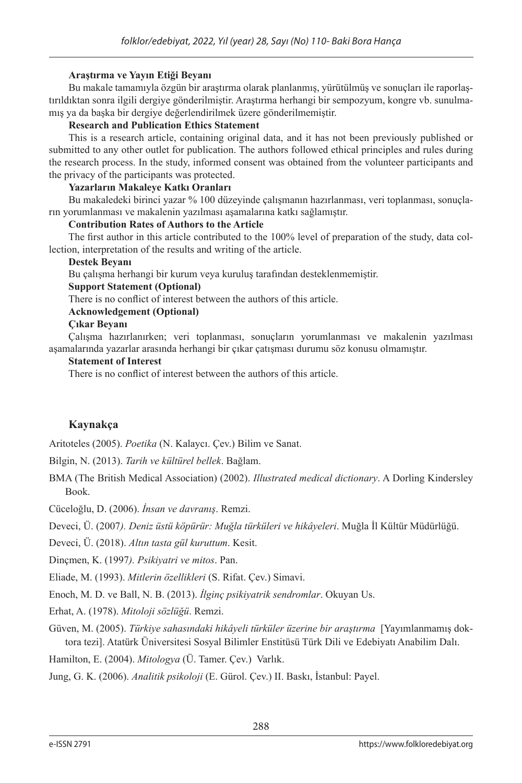#### **Araştırma ve Yayın Etiği Beyanı**

Bu makale tamamıyla özgün bir araştırma olarak planlanmış, yürütülmüş ve sonuçları ile raporlaştırıldıktan sonra ilgili dergiye gönderilmiştir. Araştırma herhangi bir sempozyum, kongre vb. sunulmamış ya da başka bir dergiye değerlendirilmek üzere gönderilmemiştir.

#### **Research and Publication Ethics Statement**

This is a research article, containing original data, and it has not been previously published or submitted to any other outlet for publication. The authors followed ethical principles and rules during the research process. In the study, informed consent was obtained from the volunteer participants and the privacy of the participants was protected.

#### **Yazarların Makaleye Katkı Oranları**

Bu makaledeki birinci yazar % 100 düzeyinde çalışmanın hazırlanması, veri toplanması, sonuçların yorumlanması ve makalenin yazılması aşamalarına katkı sağlamıştır.

#### **Contribution Rates of Authors to the Article**

The first author in this article contributed to the 100% level of preparation of the study, data collection, interpretation of the results and writing of the article.

#### **Destek Beyanı**

Bu çalışma herhangi bir kurum veya kuruluş tarafından desteklenmemiştir.

#### **Support Statement (Optional)**

There is no conflict of interest between the authors of this article.

#### **Acknowledgement (Optional)**

#### **Çıkar Beyanı**

Çalışma hazırlanırken; veri toplanması, sonuçların yorumlanması ve makalenin yazılması aşamalarında yazarlar arasında herhangi bir çıkar çatışması durumu söz konusu olmamıştır.

#### **Statement of Interest**

There is no conflict of interest between the authors of this article.

#### **Kaynakça**

Aritoteles (2005). *Poetika* (N. Kalaycı. Çev.) Bilim ve Sanat.

Bilgin, N. (2013). *Tarih ve kültürel bellek*. Bağlam.

BMA (The British Medical Association) (2002). *Illustrated medical dictionary*. A Dorling Kindersley Book.

Cüceloğlu, D. (2006). *İnsan ve davranış*. Remzi.

Deveci, Ü. (2007*). Deniz üstü köpürür: Muğla türküleri ve hikâyeleri*. Muğla İl Kültür Müdürlüğü.

Deveci, Ü. (2018). *Altın tasta gül kuruttum*. Kesit.

Dinçmen, K. (1997*). Psikiyatri ve mitos*. Pan.

Eliade, M. (1993). *Mitlerin özellikleri* (S. Rifat. Çev.) Simavi.

Enoch, M. D. ve Ball, N. B. (2013). *İlginç psikiyatrik sendromlar*. Okuyan Us.

Erhat, A. (1978). *Mitoloji sözlüğü*. Remzi.

Güven, M. (2005). *Türkiye sahasındaki hikâyeli türküler üzerine bir araştırma* [Yayımlanmamış doktora tezi]. Atatürk Üniversitesi Sosyal Bilimler Enstitüsü Türk Dili ve Edebiyatı Anabilim Dalı.

Hamilton, E. (2004). *Mitologya* (Ü. Tamer. Çev.) Varlık.

Jung, G. K. (2006). *Analitik psikoloji* (E. Gürol. Çev.) II. Baskı, İstanbul: Payel.